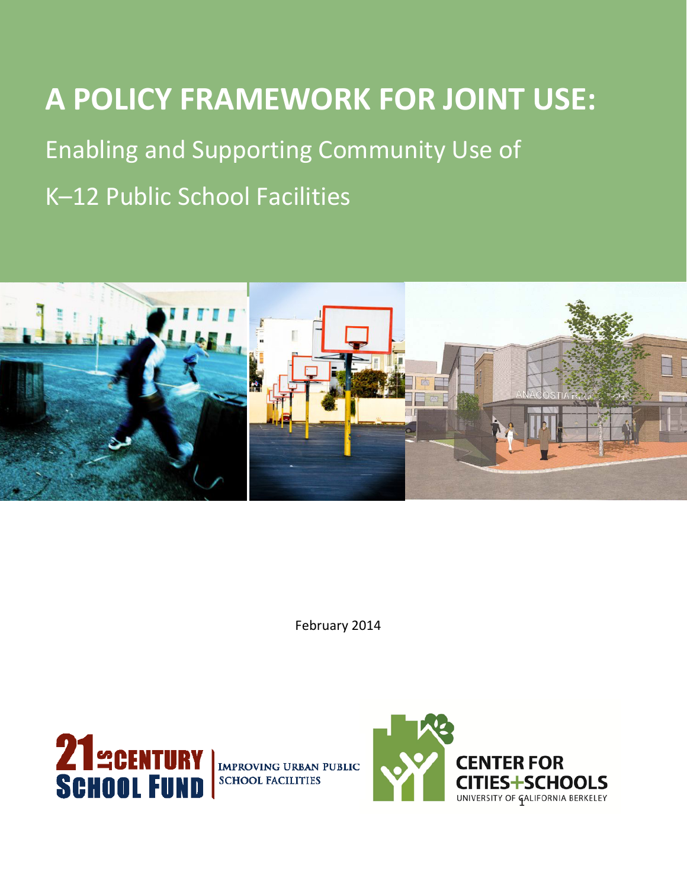# **A POLICY FRAMEWORK FOR JOINT USE:**

Enabling and Supporting Community Use of

K–12 Public School Facilities



February 2014



**IMPROVING URBAN PUBLIC SCHOOL FACILITIES** 

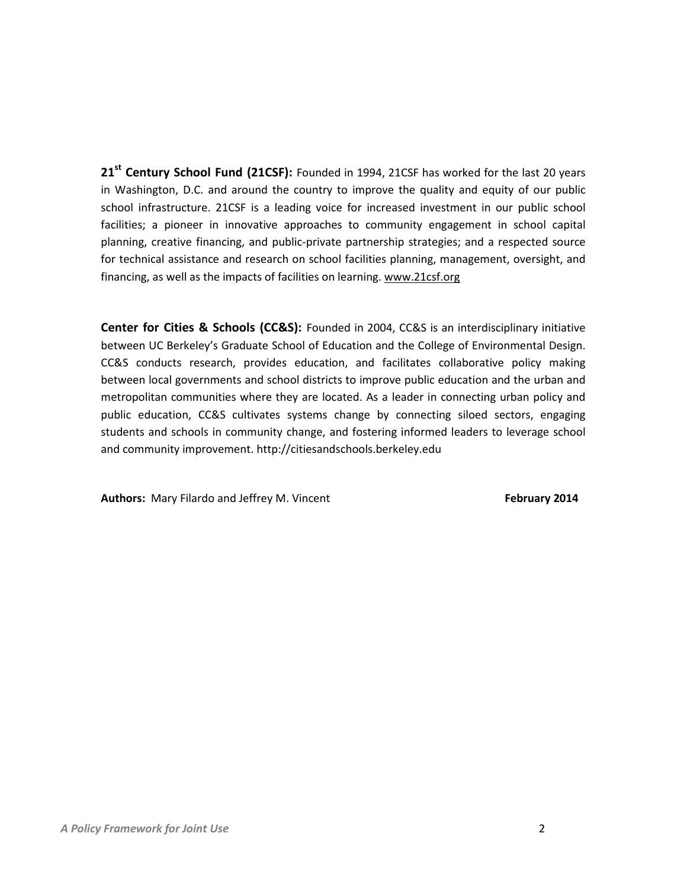**21st Century School Fund (21CSF):** Founded in 1994, 21CSF has worked for the last 20 years in Washington, D.C. and around the country to improve the quality and equity of our public school infrastructure. 21CSF is a leading voice for increased investment in our public school facilities; a pioneer in innovative approaches to community engagement in school capital planning, creative financing, and public-private partnership strategies; and a respected source for technical assistance and research on school facilities planning, management, oversight, and financing, as well as the impacts of facilities on learning. www.21csf.org

**Center for Cities & Schools (CC&S):** Founded in 2004, CC&S is an interdisciplinary initiative between UC Berkeley's Graduate School of Education and the College of Environmental Design. CC&S conducts research, provides education, and facilitates collaborative policy making between local governments and school districts to improve public education and the urban and metropolitan communities where they are located. As a leader in connecting urban policy and public education, CC&S cultivates systems change by connecting siloed sectors, engaging students and schools in community change, and fostering informed leaders to leverage school and community improvement[. http://citiesandschools.berkeley.edu](http://citiesandschools.berkeley.edu/)

**Authors:** Mary Filardo and Jeffrey M. Vincent **February 2014 February 2014**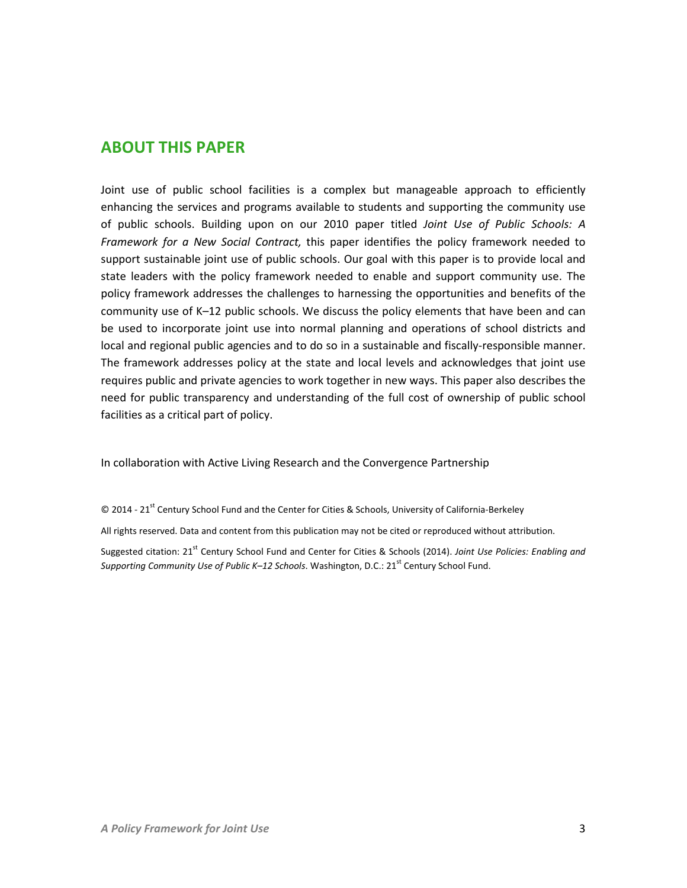## **ABOUT THIS PAPER**

Joint use of public school facilities is a complex but manageable approach to efficiently enhancing the services and programs available to students and supporting the community use of public schools. Building upon on our 2010 paper titled *Joint Use of Public Schools: A Framework for a New Social Contract,* this paper identifies the policy framework needed to support sustainable joint use of public schools. Our goal with this paper is to provide local and state leaders with the policy framework needed to enable and support community use. The policy framework addresses the challenges to harnessing the opportunities and benefits of the community use of K–12 public schools. We discuss the policy elements that have been and can be used to incorporate joint use into normal planning and operations of school districts and local and regional public agencies and to do so in a sustainable and fiscally-responsible manner. The framework addresses policy at the state and local levels and acknowledges that joint use requires public and private agencies to work together in new ways. This paper also describes the need for public transparency and understanding of the full cost of ownership of public school facilities as a critical part of policy.

In collaboration with Active Living Research and the Convergence Partnership

© 2014 - 21<sup>st</sup> Century School Fund and the Center for Cities & Schools, University of California-Berkeley

All rights reserved. Data and content from this publication may not be cited or reproduced without attribution.

Suggested citation: 21<sup>st</sup> Century School Fund and Center for Cities & Schools (2014). *Joint Use Policies: Enabling and Supporting Community Use of Public K–12 Schools.* Washington, D.C.: 21<sup>st</sup> Century School Fund.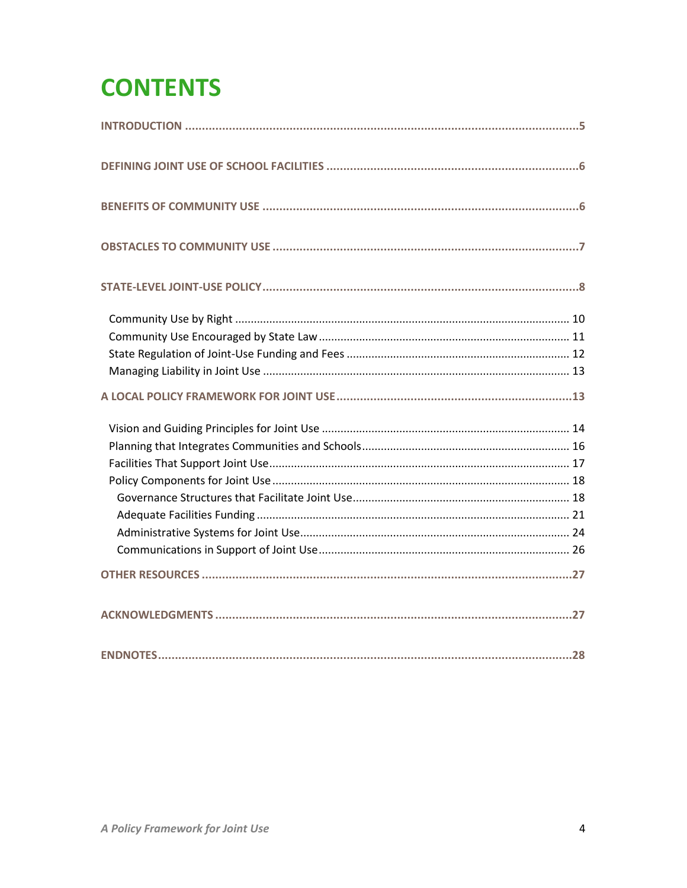# **CONTENTS**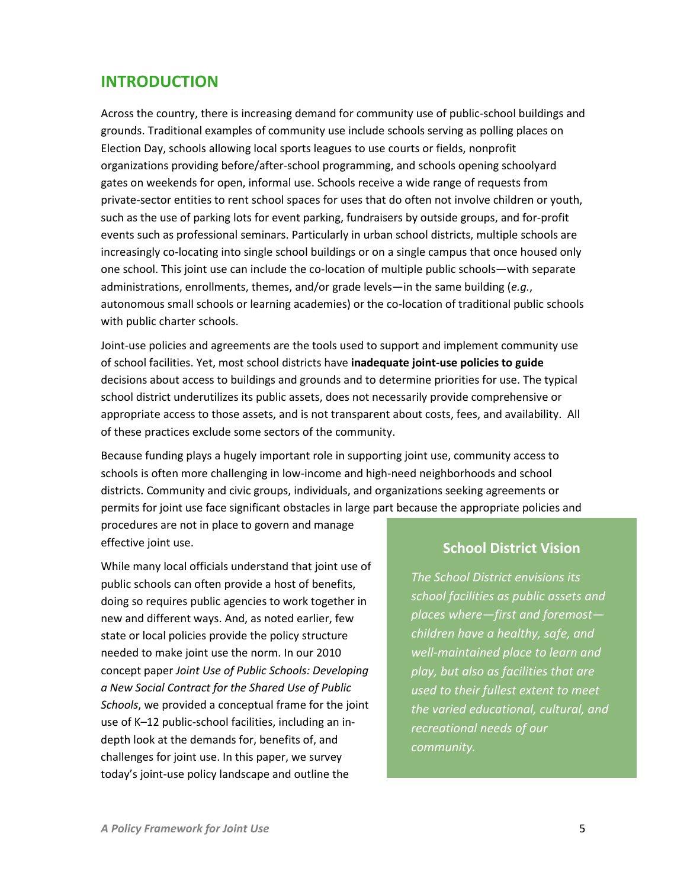## <span id="page-4-0"></span>**INTRODUCTION**

Across the country, there is increasing demand for community use of public-school buildings and grounds. Traditional examples of community use include schools serving as polling places on Election Day, schools allowing local sports leagues to use courts or fields, nonprofit organizations providing before/after-school programming, and schools opening schoolyard gates on weekends for open, informal use. Schools receive a wide range of requests from private-sector entities to rent school spaces for uses that do often not involve children or youth, such as the use of parking lots for event parking, fundraisers by outside groups, and for-profit events such as professional seminars. Particularly in urban school districts, multiple schools are increasingly co-locating into single school buildings or on a single campus that once housed only one school. This joint use can include the co-location of multiple public schools—with separate administrations, enrollments, themes, and/or grade levels—in the same building (*e.g.*, autonomous small schools or learning academies) or the co-location of traditional public schools with public charter schools.

Joint-use policies and agreements are the tools used to support and implement community use of school facilities. Yet, most school districts have **inadequate joint-use policies to guide** decisions about access to buildings and grounds and to determine priorities for use. The typical school district underutilizes its public assets, does not necessarily provide comprehensive or appropriate access to those assets, and is not transparent about costs, fees, and availability. All of these practices exclude some sectors of the community.

Because funding plays a hugely important role in supporting joint use, community access to schools is often more challenging in low-income and high-need neighborhoods and school districts. Community and civic groups, individuals, and organizations seeking agreements or permits for joint use face significant obstacles in large part because the appropriate policies and procedures are not in place to govern and manage

effective joint use.

While many local officials understand that joint use of public schools can often provide a host of benefits, doing so requires public agencies to work together in new and different ways. And, as noted earlier, few state or local policies provide the policy structure needed to make joint use the norm. In our 2010 concept paper *Joint Use of Public Schools: Developing a New Social Contract for the Shared Use of Public Schools*, we provided a conceptual frame for the joint use of K–12 public-school facilities, including an indepth look at the demands for, benefits of, and challenges for joint use. In this paper, we survey today's joint-use policy landscape and outline the

## **School District Vision**

*The School District envisions its school facilities as public assets and places where—first and foremost children have a healthy, safe, and well-maintained place to learn and play, but also as facilities that are used to their fullest extent to meet the varied educational, cultural, and recreational needs of our community.*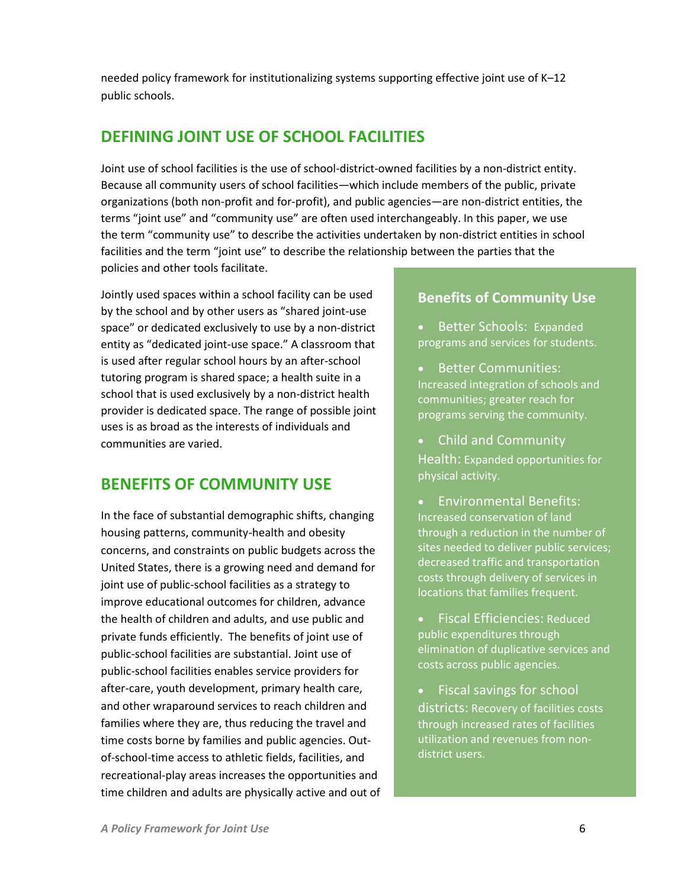needed policy framework for institutionalizing systems supporting effective joint use of K–12 public schools.

# <span id="page-5-0"></span>**DEFINING JOINT USE OF SCHOOL FACILITIES**

Joint use of school facilities is the use of school-district-owned facilities by a non-district entity. Because all community users of school facilities—which include members of the public, private organizations (both non-profit and for-profit), and public agencies—are non-district entities, the terms "joint use" and "community use" are often used interchangeably. In this paper, we use the term "community use" to describe the activities undertaken by non-district entities in school facilities and the term "joint use" to describe the relationship between the parties that the policies and other tools facilitate.

Jointly used spaces within a school facility can be used by the school and by other users as "shared joint-use space" or dedicated exclusively to use by a non-district entity as "dedicated joint-use space." A classroom that is used after regular school hours by an after-school tutoring program is shared space; a health suite in a school that is used exclusively by a non-district health provider is dedicated space. The range of possible joint uses is as broad as the interests of individuals and communities are varied.

# <span id="page-5-1"></span>**BENEFITS OF COMMUNITY USE**

In the face of substantial demographic shifts, changing housing patterns, community-health and obesity concerns, and constraints on public budgets across the United States, there is a growing need and demand for joint use of public-school facilities as a strategy to improve educational outcomes for children, advance the health of children and adults, and use public and private funds efficiently. The benefits of joint use of public-school facilities are substantial. Joint use of public-school facilities enables service providers for after-care, youth development, primary health care, and other wraparound services to reach children and families where they are, thus reducing the travel and time costs borne by families and public agencies. Outof-school-time access to athletic fields, facilities, and recreational-play areas increases the opportunities and time children and adults are physically active and out of

### **Benefits of Community Use**

- Better Schools: Expanded programs and services for students.
- Better Communities: Increased integration of schools and communities; greater reach for programs serving the community.
- Child and Community Health: Expanded opportunities for physical activity.
- Environmental Benefits: Increased conservation of land through a reduction in the number of sites needed to deliver public services; decreased traffic and transportation costs through delivery of services in locations that families frequent.
- Fiscal Efficiencies: Reduced public expenditures through elimination of duplicative services and costs across public agencies.
- Fiscal savings for school districts: Recovery of facilities costs through increased rates of facilities utilization and revenues from nondistrict users.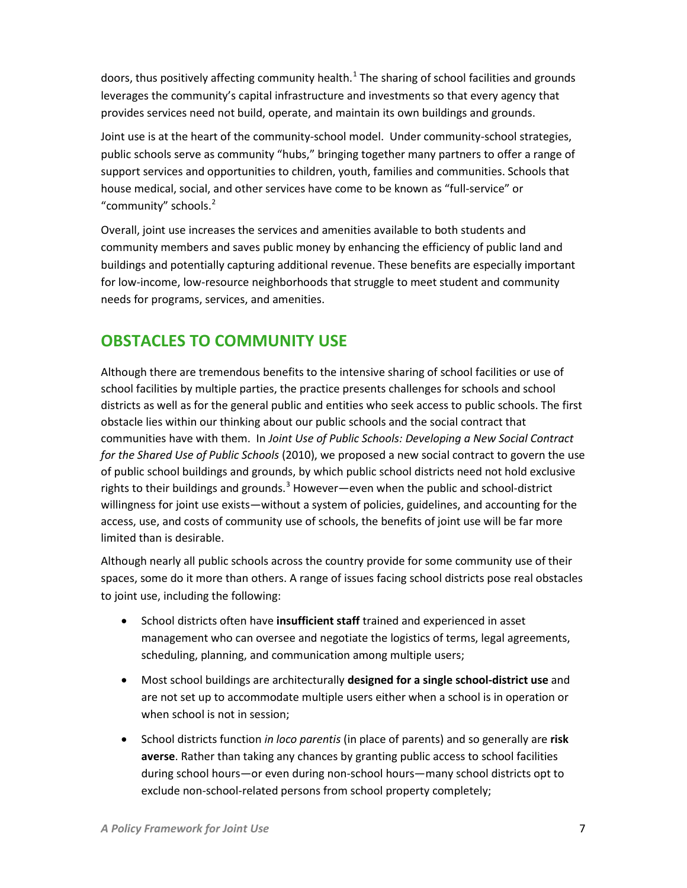doors, thus positively affecting community health.<sup>[1](#page-27-1)</sup> The sharing of school facilities and grounds leverages the community's capital infrastructure and investments so that every agency that provides services need not build, operate, and maintain its own buildings and grounds.

Joint use is at the heart of the community-school model. Under community-school strategies, public schools serve as community "hubs," bringing together many partners to offer a range of support services and opportunities to children, youth, families and communities. Schools that house medical, social, and other services have come to be known as "full-service" or "community" schools.<sup>[2](#page-27-2)</sup>

Overall, joint use increases the services and amenities available to both students and community members and saves public money by enhancing the efficiency of public land and buildings and potentially capturing additional revenue. These benefits are especially important for low-income, low-resource neighborhoods that struggle to meet student and community needs for programs, services, and amenities.

# <span id="page-6-0"></span>**OBSTACLES TO COMMUNITY USE**

Although there are tremendous benefits to the intensive sharing of school facilities or use of school facilities by multiple parties, the practice presents challenges for schools and school districts as well as for the general public and entities who seek access to public schools. The first obstacle lies within our thinking about our public schools and the social contract that communities have with them. In *Joint Use of Public Schools: Developing a New Social Contract for the Shared Use of Public Schools* (2010), we proposed a new social contract to govern the use of public school buildings and grounds, by which public school districts need not hold exclusive rights to their buildings and grounds.<sup>[3](#page-27-3)</sup> However—even when the public and school-district willingness for joint use exists—without a system of policies, guidelines, and accounting for the access, use, and costs of community use of schools, the benefits of joint use will be far more limited than is desirable.

Although nearly all public schools across the country provide for some community use of their spaces, some do it more than others. A range of issues facing school districts pose real obstacles to joint use, including the following:

- School districts often have **insufficient staff** trained and experienced in asset management who can oversee and negotiate the logistics of terms, legal agreements, scheduling, planning, and communication among multiple users;
- Most school buildings are architecturally **designed for a single school-district use** and are not set up to accommodate multiple users either when a school is in operation or when school is not in session;
- School districts function *in loco parentis* (in place of parents) and so generally are **risk averse**. Rather than taking any chances by granting public access to school facilities during school hours—or even during non-school hours—many school districts opt to exclude non-school-related persons from school property completely;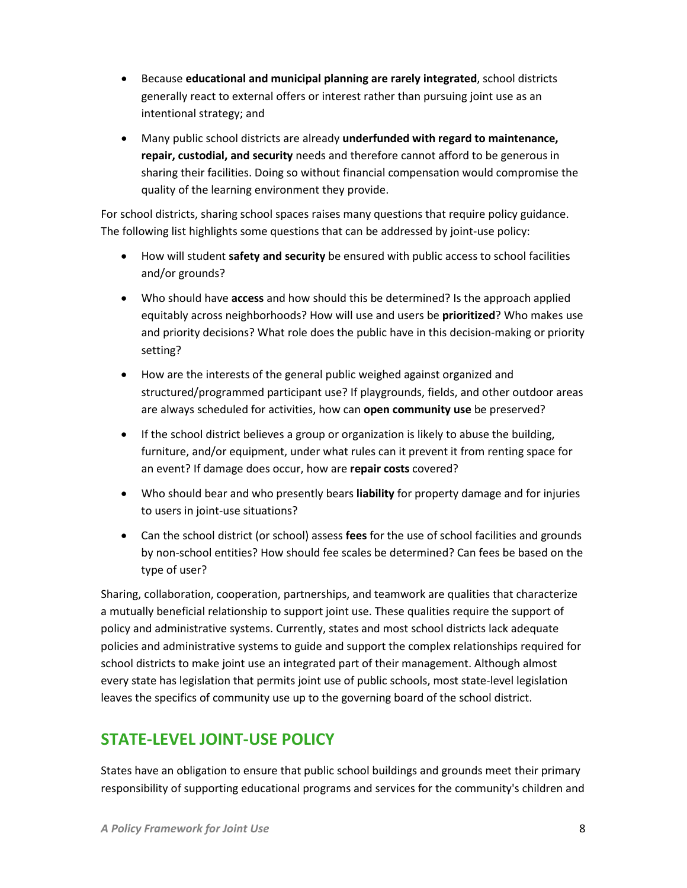- Because **educational and municipal planning are rarely integrated**, school districts generally react to external offers or interest rather than pursuing joint use as an intentional strategy; and
- Many public school districts are already **underfunded with regard to maintenance, repair, custodial, and security** needs and therefore cannot afford to be generous in sharing their facilities. Doing so without financial compensation would compromise the quality of the learning environment they provide.

For school districts, sharing school spaces raises many questions that require policy guidance. The following list highlights some questions that can be addressed by joint-use policy:

- How will student **safety and security** be ensured with public access to school facilities and/or grounds?
- Who should have **access** and how should this be determined? Is the approach applied equitably across neighborhoods? How will use and users be **prioritized**? Who makes use and priority decisions? What role does the public have in this decision-making or priority setting?
- How are the interests of the general public weighed against organized and structured/programmed participant use? If playgrounds, fields, and other outdoor areas are always scheduled for activities, how can **open community use** be preserved?
- If the school district believes a group or organization is likely to abuse the building, furniture, and/or equipment, under what rules can it prevent it from renting space for an event? If damage does occur, how are **repair costs** covered?
- Who should bear and who presently bears **liability** for property damage and for injuries to users in joint-use situations?
- Can the school district (or school) assess **fees** for the use of school facilities and grounds by non-school entities? How should fee scales be determined? Can fees be based on the type of user?

Sharing, collaboration, cooperation, partnerships, and teamwork are qualities that characterize a mutually beneficial relationship to support joint use. These qualities require the support of policy and administrative systems. Currently, states and most school districts lack adequate policies and administrative systems to guide and support the complex relationships required for school districts to make joint use an integrated part of their management. Although almost every state has legislation that permits joint use of public schools, most state-level legislation leaves the specifics of community use up to the governing board of the school district.

# <span id="page-7-0"></span>**STATE-LEVEL JOINT-USE POLICY**

States have an obligation to ensure that public school buildings and grounds meet their primary responsibility of supporting educational programs and services for the community's children and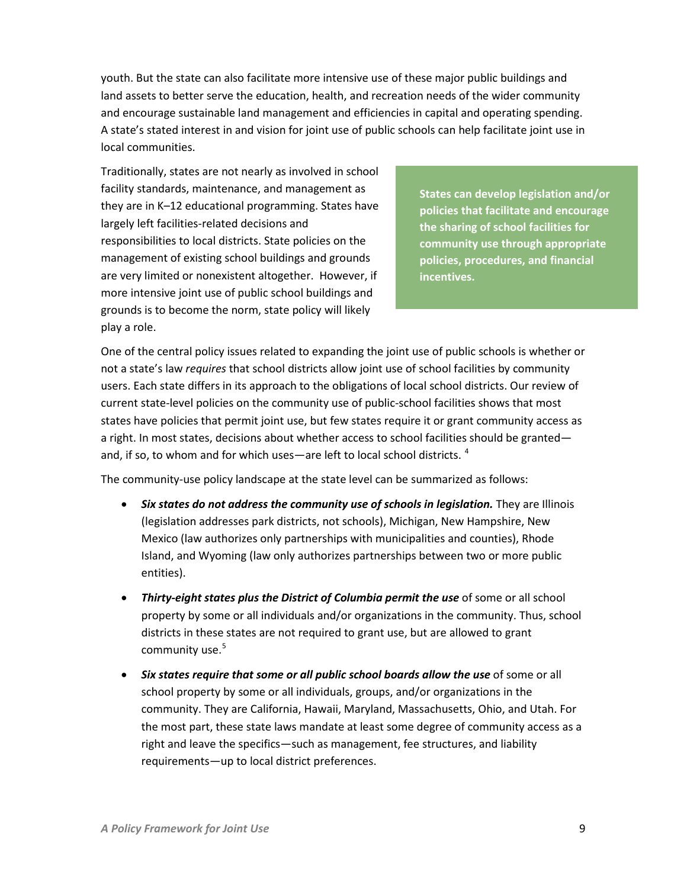youth. But the state can also facilitate more intensive use of these major public buildings and land assets to better serve the education, health, and recreation needs of the wider community and encourage sustainable land management and efficiencies in capital and operating spending. A state's stated interest in and vision for joint use of public schools can help facilitate joint use in local communities.

Traditionally, states are not nearly as involved in school facility standards, maintenance, and management as they are in K–12 educational programming. States have largely left facilities-related decisions and responsibilities to local districts. State policies on the management of existing school buildings and grounds are very limited or nonexistent altogether. However, if more intensive joint use of public school buildings and grounds is to become the norm, state policy will likely play a role.

**States can develop legislation and/or policies that facilitate and encourage the sharing of school facilities for community use through appropriate policies, procedures, and financial incentives.**

One of the central policy issues related to expanding the joint use of public schools is whether or not a state's law *requires* that school districts allow joint use of school facilities by community users. Each state differs in its approach to the obligations of local school districts. Our review of current state-level policies on the community use of public-school facilities shows that most states have policies that permit joint use, but few states require it or grant community access as a right. In most states, decisions about whether access to school facilities should be granted— and, if so, to whom and for which uses—are left to local school districts.<sup>[4](#page-28-0)</sup>

The community-use policy landscape at the state level can be summarized as follows:

- *Six states do not address the community use of schools in legislation.* They are Illinois (legislation addresses park districts, not schools), Michigan, New Hampshire, New Mexico (law authorizes only partnerships with municipalities and counties), Rhode Island, and Wyoming (law only authorizes partnerships between two or more public entities).
- *Thirty-eight states plus the District of Columbia permit the use* of some or all school property by some or all individuals and/or organizations in the community. Thus, school districts in these states are not required to grant use, but are allowed to grant community use.<sup>[5](#page-28-1)</sup>
- *Six states require that some or all public school boards allow the use* of some or all school property by some or all individuals, groups, and/or organizations in the community. They are California, Hawaii, Maryland, Massachusetts, Ohio, and Utah. For the most part, these state laws mandate at least some degree of community access as a right and leave the specifics—such as management, fee structures, and liability requirements—up to local district preferences.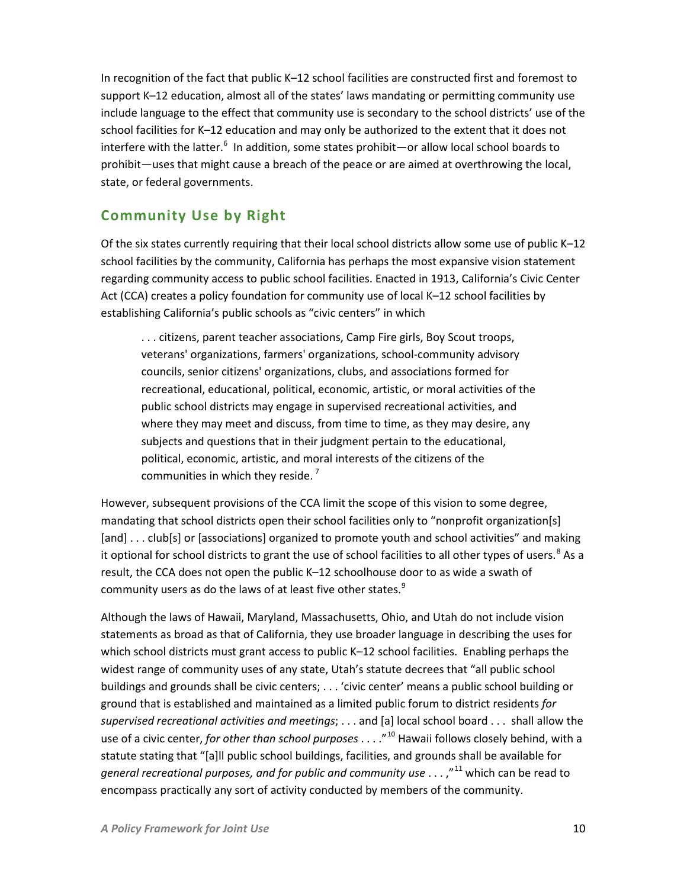In recognition of the fact that public K–12 school facilities are constructed first and foremost to support K–12 education, almost all of the states' laws mandating or permitting community use include language to the effect that community use is secondary to the school districts' use of the school facilities for K–12 education and may only be authorized to the extent that it does not interfere with the latter.<sup>[6](#page-29-0)</sup> In addition, some states prohibit—or allow local school boards to prohibit—uses that might cause a breach of the peace or are aimed at overthrowing the local, state, or federal governments.

# <span id="page-9-0"></span>**Community Use by Right**

Of the six states currently requiring that their local school districts allow some use of public K–12 school facilities by the community, California has perhaps the most expansive vision statement regarding community access to public school facilities. Enacted in 1913, California's Civic Center Act (CCA) creates a policy foundation for community use of local K–12 school facilities by establishing California's public schools as "civic centers" in which

. . . citizens, parent teacher associations, Camp Fire girls, Boy Scout troops, veterans' organizations, farmers' organizations, school-community advisory councils, senior citizens' organizations, clubs, and associations formed for recreational, educational, political, economic, artistic, or moral activities of the public school districts may engage in supervised recreational activities, and where they may meet and discuss, from time to time, as they may desire, any subjects and questions that in their judgment pertain to the educational, political, economic, artistic, and moral interests of the citizens of the communities in which they reside. [7](#page-29-1)

However, subsequent provisions of the CCA limit the scope of this vision to some degree, mandating that school districts open their school facilities only to "nonprofit organization[s] [and] . . . club[s] or [associations] organized to promote youth and school activities" and making it optional for school districts to grant the use of school facilities to all other types of users.<sup>[8](#page-29-2)</sup> As a result, the CCA does not open the public K–12 schoolhouse door to as wide a swath of community users as do the laws of at least five other states.<sup>[9](#page-29-3)</sup>

Although the laws of Hawaii, Maryland, Massachusetts, Ohio, and Utah do not include vision statements as broad as that of California, they use broader language in describing the uses for which school districts must grant access to public K–12 school facilities. Enabling perhaps the widest range of community uses of any state, Utah's statute decrees that "all public school buildings and grounds shall be civic centers; . . . 'civic center' means a public school building or ground that is established and maintained as a limited public forum to district residents *for supervised recreational activities and meetings*; . . . and [a] local school board . . . shall allow the use of a civic center, *for other than school purposes* . . . ."[10](#page-29-4) Hawaii follows closely behind, with a statute stating that "[a]ll public school buildings, facilities, and grounds shall be available for *general recreational purposes, and for public and community use* . . . ,"[11](#page-29-5) which can be read to encompass practically any sort of activity conducted by members of the community.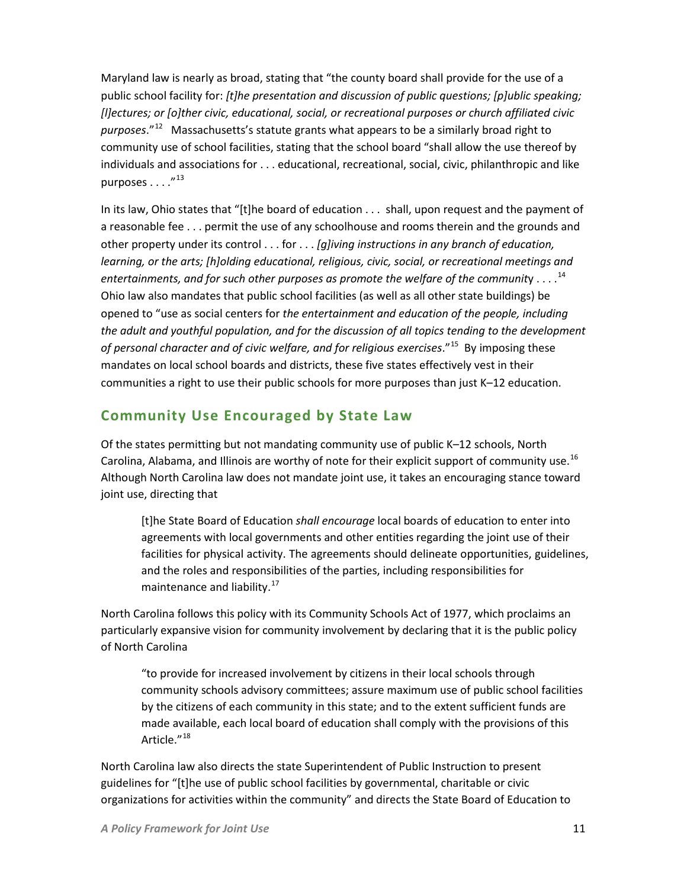Maryland law is nearly as broad, stating that "the county board shall provide for the use of a public school facility for: *[t]he presentation and discussion of public questions; [p]ublic speaking; [l]ectures; or [o]ther civic, educational, social, or recreational purposes or church affiliated civic purposes*."[12](#page-30-0) Massachusetts's statute grants what appears to be a similarly broad right to community use of school facilities, stating that the school board "shall allow the use thereof by individuals and associations for . . . educational, recreational, social, civic, philanthropic and like purposes  $\ldots$ ."<sup>[13](#page-30-1)</sup>

In its law, Ohio states that "[t]he board of education . . . shall, upon request and the payment of a reasonable fee . . . permit the use of any schoolhouse and rooms therein and the grounds and other property under its control . . . for . . . *[g]iving instructions in any branch of education, learning, or the arts; [h]olding educational, religious, civic, social, or recreational meetings and entertainments, and for such other purposes as promote the welfare of the communit*y . . . . [14](#page-30-2) Ohio law also mandates that public school facilities (as well as all other state buildings) be opened to "use as social centers for *the entertainment and education of the people, including the adult and youthful population, and for the discussion of all topics tending to the development of personal character and of civic welfare, and for religious exercises*."[15](#page-30-3) By imposing these mandates on local school boards and districts, these five states effectively vest in their communities a right to use their public schools for more purposes than just K–12 education.

## <span id="page-10-0"></span>**Community Use Encouraged by State Law**

Of the states permitting but not mandating community use of public K–12 schools, North Carolina, Alabama, and Illinois are worthy of note for their explicit support of community use.<sup>[16](#page-30-4)</sup> Although North Carolina law does not mandate joint use, it takes an encouraging stance toward joint use, directing that

[t]he State Board of Education *shall encourage* local boards of education to enter into agreements with local governments and other entities regarding the joint use of their facilities for physical activity. The agreements should delineate opportunities, guidelines, and the roles and responsibilities of the parties, including responsibilities for maintenance and liability.<sup>17</sup>

North Carolina follows this policy with its Community Schools Act of 1977, which proclaims an particularly expansive vision for community involvement by declaring that it is the public policy of North Carolina

"to provide for increased involvement by citizens in their local schools through community schools advisory committees; assure maximum use of public school facilities by the citizens of each community in this state; and to the extent sufficient funds are made available, each local board of education shall comply with the provisions of this Article."<sup>[18](#page-30-6)</sup>

North Carolina law also directs the state Superintendent of Public Instruction to present guidelines for "[t]he use of public school facilities by governmental, charitable or civic organizations for activities within the community" and directs the State Board of Education to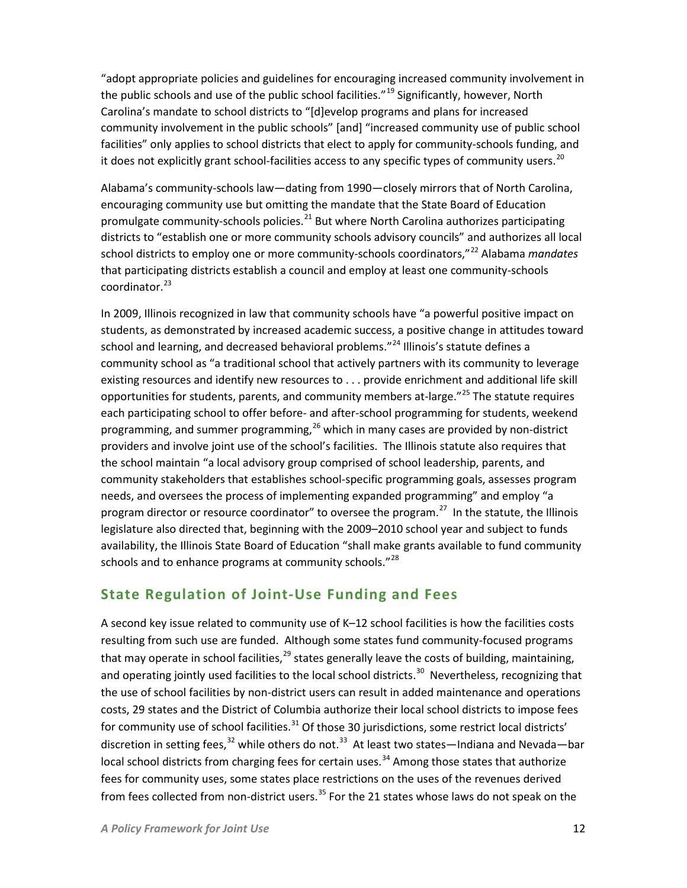"adopt appropriate policies and guidelines for encouraging increased community involvement in the public schools and use of the public school facilities."<sup>[19](#page-30-7)</sup> Significantly, however, North Carolina's mandate to school districts to "[d]evelop programs and plans for increased community involvement in the public schools" [and] "increased community use of public school facilities" only applies to school districts that elect to apply for community-schools funding, and it does not explicitly grant school-facilities access to any specific types of community users.<sup>[20](#page-30-8)</sup>

Alabama's community-schools law—dating from 1990—closely mirrors that of North Carolina, encouraging community use but omitting the mandate that the State Board of Education promulgate community-schools policies.<sup>[21](#page-30-9)</sup> But where North Carolina authorizes participating districts to "establish one or more community schools advisory councils" and authorizes all local school districts to employ one or more community-schools coordinators,"[22](#page-30-10) Alabama *mandates* that participating districts establish a council and employ at least one community-schools coordinator.<sup>[23](#page-30-11)</sup>

In 2009, Illinois recognized in law that community schools have "a powerful positive impact on students, as demonstrated by increased academic success, a positive change in attitudes toward school and learning, and decreased behavioral problems."<sup>[24](#page-30-12)</sup> Illinois's statute defines a community school as "a traditional school that actively partners with its community to leverage existing resources and identify new resources to . . . provide enrichment and additional life skill opportunities for students, parents, and community members at-large."<sup>[25](#page-30-13)</sup> The statute requires each participating school to offer before- and after-school programming for students, weekend programming, and summer programming,  $^{26}$  $^{26}$  $^{26}$  which in many cases are provided by non-district providers and involve joint use of the school's facilities. The Illinois statute also requires that the school maintain "a local advisory group comprised of school leadership, parents, and community stakeholders that establishes school-specific programming goals, assesses program needs, and oversees the process of implementing expanded programming" and employ "a program director or resource coordinator" to oversee the program. $^{27}$  In the statute, the Illinois legislature also directed that, beginning with the 2009–2010 school year and subject to funds availability, the Illinois State Board of Education "shall make grants available to fund community schools and to enhance programs at community schools."<sup>[28](#page-30-16)</sup>

## <span id="page-11-0"></span>**State Regulation of Joint-Use Funding and Fees**

A second key issue related to community use of K–12 school facilities is how the facilities costs resulting from such use are funded. Although some states fund community-focused programs that may operate in school facilities, $^{29}$  $^{29}$  $^{29}$  states generally leave the costs of building, maintaining, and operating jointly used facilities to the local school districts.<sup>[30](#page-30-18)</sup> Nevertheless, recognizing that the use of school facilities by non-district users can result in added maintenance and operations costs, 29 states and the District of Columbia authorize their local school districts to impose fees for community use of school facilities. $31$  Of those 30 jurisdictions, some restrict local districts' discretion in setting fees,  $32$  while others do not.  $33$  At least two states—Indiana and Nevada—bar local school districts from charging fees for certain uses.<sup>[34](#page-30-22)</sup> Among those states that authorize fees for community uses, some states place restrictions on the uses of the revenues derived from fees collected from non-district users.<sup>[35](#page-30-23)</sup> For the 21 states whose laws do not speak on the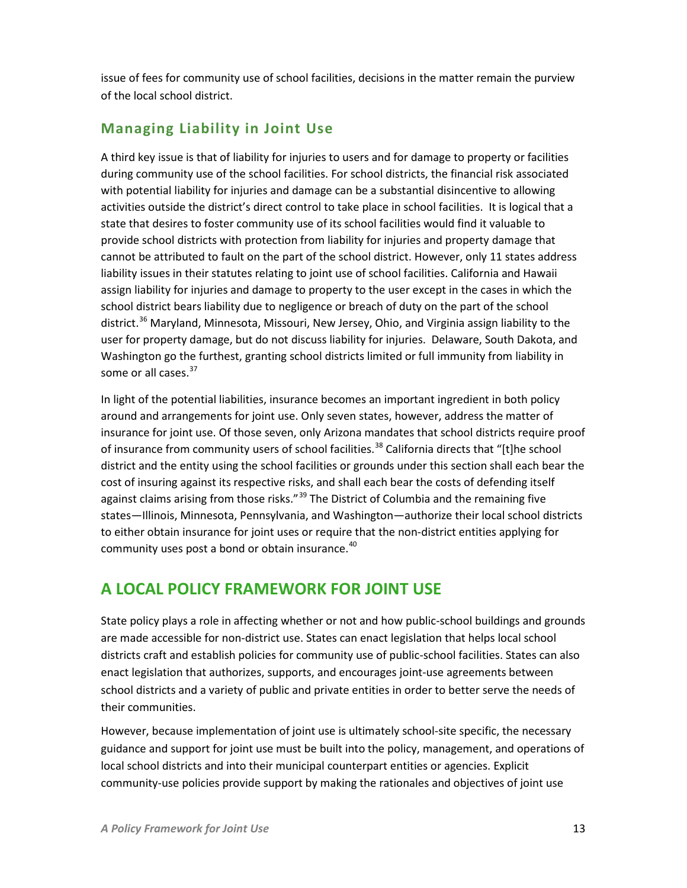issue of fees for community use of school facilities, decisions in the matter remain the purview of the local school district.

# <span id="page-12-0"></span>**Managing Liability in Joint Use**

A third key issue is that of liability for injuries to users and for damage to property or facilities during community use of the school facilities. For school districts, the financial risk associated with potential liability for injuries and damage can be a substantial disincentive to allowing activities outside the district's direct control to take place in school facilities. It is logical that a state that desires to foster community use of its school facilities would find it valuable to provide school districts with protection from liability for injuries and property damage that cannot be attributed to fault on the part of the school district. However, only 11 states address liability issues in their statutes relating to joint use of school facilities. California and Hawaii assign liability for injuries and damage to property to the user except in the cases in which the school district bears liability due to negligence or breach of duty on the part of the school district.<sup>[36](#page-30-24)</sup> Maryland, Minnesota, Missouri, New Jersey, Ohio, and Virginia assign liability to the user for property damage, but do not discuss liability for injuries. Delaware, South Dakota, and Washington go the furthest, granting school districts limited or full immunity from liability in some or all cases.<sup>[37](#page-30-25)</sup>

In light of the potential liabilities, insurance becomes an important ingredient in both policy around and arrangements for joint use. Only seven states, however, address the matter of insurance for joint use. Of those seven, only Arizona mandates that school districts require proof of insurance from community users of school facilities.<sup>[38](#page-30-26)</sup> California directs that "[t]he school district and the entity using the school facilities or grounds under this section shall each bear the cost of insuring against its respective risks, and shall each bear the costs of defending itself against claims arising from those risks."<sup>[39](#page-30-27)</sup> The District of Columbia and the remaining five states—Illinois, Minnesota, Pennsylvania, and Washington—authorize their local school districts to either obtain insurance for joint uses or require that the non-district entities applying for community uses post a bond or obtain insurance.<sup>[40](#page-30-28)</sup>

# <span id="page-12-1"></span>**A LOCAL POLICY FRAMEWORK FOR JOINT USE**

State policy plays a role in affecting whether or not and how public-school buildings and grounds are made accessible for non-district use. States can enact legislation that helps local school districts craft and establish policies for community use of public-school facilities. States can also enact legislation that authorizes, supports, and encourages joint-use agreements between school districts and a variety of public and private entities in order to better serve the needs of their communities.

However, because implementation of joint use is ultimately school-site specific, the necessary guidance and support for joint use must be built into the policy, management, and operations of local school districts and into their municipal counterpart entities or agencies. Explicit community-use policies provide support by making the rationales and objectives of joint use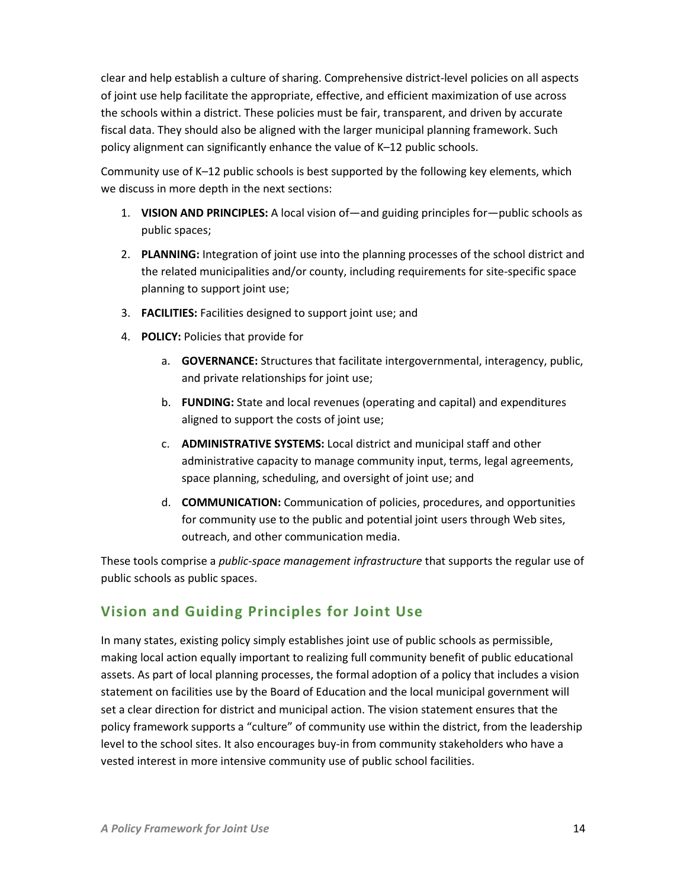clear and help establish a culture of sharing. Comprehensive district-level policies on all aspects of joint use help facilitate the appropriate, effective, and efficient maximization of use across the schools within a district. These policies must be fair, transparent, and driven by accurate fiscal data. They should also be aligned with the larger municipal planning framework. Such policy alignment can significantly enhance the value of K–12 public schools.

Community use of K–12 public schools is best supported by the following key elements, which we discuss in more depth in the next sections:

- 1. **VISION AND PRINCIPLES:** A local vision of—and guiding principles for—public schools as public spaces;
- 2. **PLANNING:** Integration of joint use into the planning processes of the school district and the related municipalities and/or county, including requirements for site-specific space planning to support joint use;
- 3. **FACILITIES:** Facilities designed to support joint use; and
- 4. **POLICY:** Policies that provide for
	- a. **GOVERNANCE:** Structures that facilitate intergovernmental, interagency, public, and private relationships for joint use;
	- b. **FUNDING:** State and local revenues (operating and capital) and expenditures aligned to support the costs of joint use;
	- c. **ADMINISTRATIVE SYSTEMS:** Local district and municipal staff and other administrative capacity to manage community input, terms, legal agreements, space planning, scheduling, and oversight of joint use; and
	- d. **COMMUNICATION:** Communication of policies, procedures, and opportunities for community use to the public and potential joint users through Web sites, outreach, and other communication media.

These tools comprise a *public-space management infrastructure* that supports the regular use of public schools as public spaces.

## <span id="page-13-0"></span>**Vision and Guiding Principles for Joint Use**

In many states, existing policy simply establishes joint use of public schools as permissible, making local action equally important to realizing full community benefit of public educational assets. As part of local planning processes, the formal adoption of a policy that includes a vision statement on facilities use by the Board of Education and the local municipal government will set a clear direction for district and municipal action. The vision statement ensures that the policy framework supports a "culture" of community use within the district, from the leadership level to the school sites. It also encourages buy-in from community stakeholders who have a vested interest in more intensive community use of public school facilities.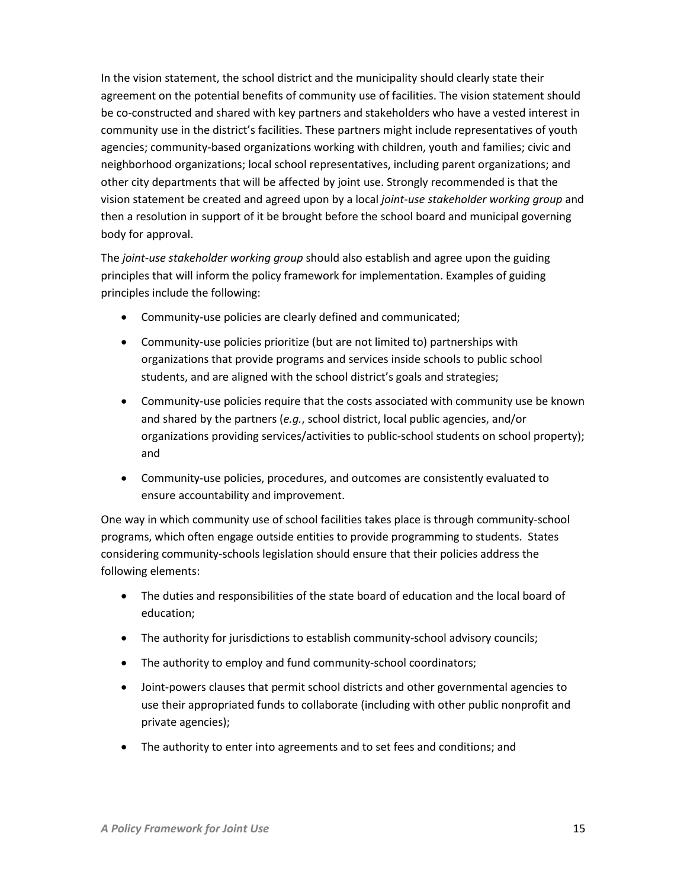In the vision statement, the school district and the municipality should clearly state their agreement on the potential benefits of community use of facilities. The vision statement should be co-constructed and shared with key partners and stakeholders who have a vested interest in community use in the district's facilities. These partners might include representatives of youth agencies; community-based organizations working with children, youth and families; civic and neighborhood organizations; local school representatives, including parent organizations; and other city departments that will be affected by joint use. Strongly recommended is that the vision statement be created and agreed upon by a local *joint-use stakeholder working group* and then a resolution in support of it be brought before the school board and municipal governing body for approval.

The *joint-use stakeholder working group* should also establish and agree upon the guiding principles that will inform the policy framework for implementation. Examples of guiding principles include the following:

- Community-use policies are clearly defined and communicated;
- Community-use policies prioritize (but are not limited to) partnerships with organizations that provide programs and services inside schools to public school students, and are aligned with the school district's goals and strategies;
- Community-use policies require that the costs associated with community use be known and shared by the partners (*e.g.*, school district, local public agencies, and/or organizations providing services/activities to public-school students on school property); and
- Community-use policies, procedures, and outcomes are consistently evaluated to ensure accountability and improvement.

One way in which community use of school facilities takes place is through community-school programs, which often engage outside entities to provide programming to students. States considering community-schools legislation should ensure that their policies address the following elements:

- The duties and responsibilities of the state board of education and the local board of education;
- The authority for jurisdictions to establish community-school advisory councils;
- The authority to employ and fund community-school coordinators;
- Joint-powers clauses that permit school districts and other governmental agencies to use their appropriated funds to collaborate (including with other public nonprofit and private agencies);
- The authority to enter into agreements and to set fees and conditions; and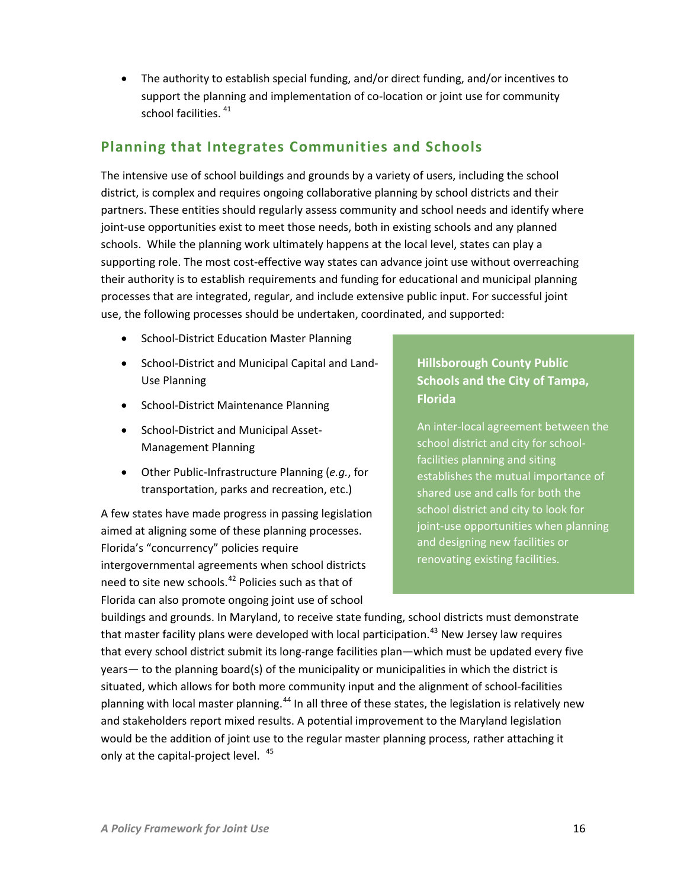• The authority to establish special funding, and/or direct funding, and/or incentives to support the planning and implementation of co-location or joint use for community school facilities.  $41$ 

## <span id="page-15-0"></span>**Planning that Integrates Communities and Schools**

The intensive use of school buildings and grounds by a variety of users, including the school district, is complex and requires ongoing collaborative planning by school districts and their partners. These entities should regularly assess community and school needs and identify where joint-use opportunities exist to meet those needs, both in existing schools and any planned schools. While the planning work ultimately happens at the local level, states can play a supporting role. The most cost-effective way states can advance joint use without overreaching their authority is to establish requirements and funding for educational and municipal planning processes that are integrated, regular, and include extensive public input. For successful joint use, the following processes should be undertaken, coordinated, and supported:

- School-District Education Master Planning
- School-District and Municipal Capital and Land-Use Planning
- School-District Maintenance Planning
- School-District and Municipal Asset-Management Planning
- Other Public-Infrastructure Planning (*e.g.*, for transportation, parks and recreation, etc.)

A few states have made progress in passing legislation aimed at aligning some of these planning processes. Florida's "concurrency" policies require intergovernmental agreements when school districts need to site new schools. [42](#page-30-30) Policies such as that of Florida can also promote ongoing joint use of school

## **Hillsborough County Public Schools and the City of Tampa, Florida**

An inter-local agreement between the school district and city for schoolfacilities planning and siting establishes the mutual importance of shared use and calls for both the school district and city to look for joint-use opportunities when planning and designing new facilities or renovating existing facilities.

buildings and grounds. In Maryland, to receive state funding, school districts must demonstrate that master facility plans were developed with local participation.<sup>[43](#page-30-31)</sup> New Jersey law requires that every school district submit its long-range facilities plan—which must be updated every five years— to the planning board(s) of the municipality or municipalities in which the district is situated, which allows for both more community input and the alignment of school-facilities planning with local master planning.<sup>[44](#page-30-32)</sup> In all three of these states, the legislation is relatively new and stakeholders report mixed results. A potential improvement to the Maryland legislation would be the addition of joint use to the regular master planning process, rather attaching it only at the capital-project level.<sup>[45](#page-30-33)</sup>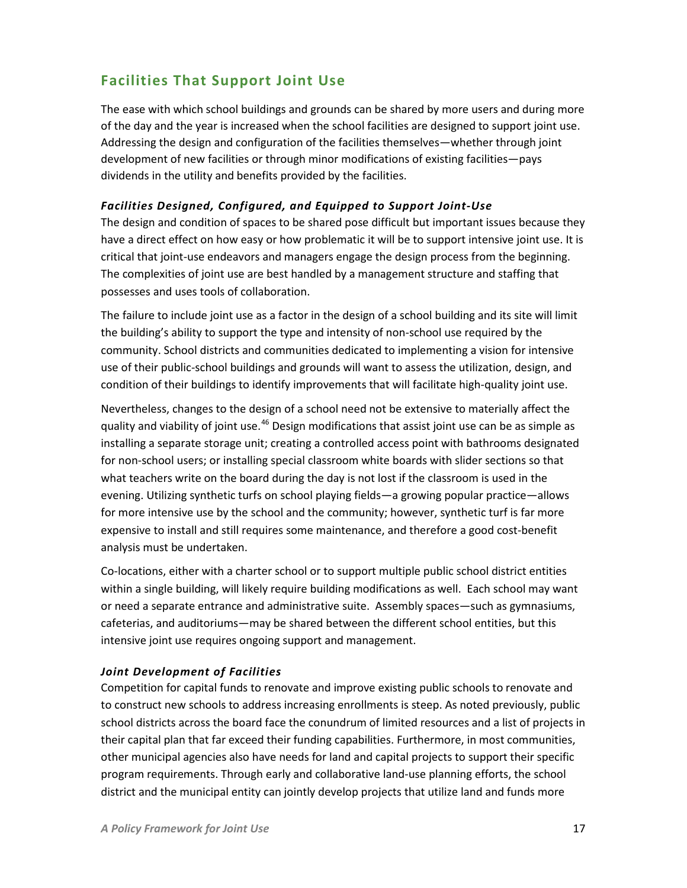# <span id="page-16-0"></span>**Facilities That Support Joint Use**

The ease with which school buildings and grounds can be shared by more users and during more of the day and the year is increased when the school facilities are designed to support joint use. Addressing the design and configuration of the facilities themselves—whether through joint development of new facilities or through minor modifications of existing facilities—pays dividends in the utility and benefits provided by the facilities.

#### *Facilities Designed, Configured, and Equipped to Support Joint-Use*

The design and condition of spaces to be shared pose difficult but important issues because they have a direct effect on how easy or how problematic it will be to support intensive joint use. It is critical that joint-use endeavors and managers engage the design process from the beginning. The complexities of joint use are best handled by a management structure and staffing that possesses and uses tools of collaboration.

The failure to include joint use as a factor in the design of a school building and its site will limit the building's ability to support the type and intensity of non-school use required by the community. School districts and communities dedicated to implementing a vision for intensive use of their public-school buildings and grounds will want to assess the utilization, design, and condition of their buildings to identify improvements that will facilitate high-quality joint use.

Nevertheless, changes to the design of a school need not be extensive to materially affect the quality and viability of joint use.<sup>[46](#page-30-34)</sup> Design modifications that assist joint use can be as simple as installing a separate storage unit; creating a controlled access point with bathrooms designated for non-school users; or installing special classroom white boards with slider sections so that what teachers write on the board during the day is not lost if the classroom is used in the evening. Utilizing synthetic turfs on school playing fields—a growing popular practice—allows for more intensive use by the school and the community; however, synthetic turf is far more expensive to install and still requires some maintenance, and therefore a good cost-benefit analysis must be undertaken.

Co-locations, either with a charter school or to support multiple public school district entities within a single building, will likely require building modifications as well. Each school may want or need a separate entrance and administrative suite. Assembly spaces—such as gymnasiums, cafeterias, and auditoriums—may be shared between the different school entities, but this intensive joint use requires ongoing support and management.

#### *Joint Development of Facilities*

Competition for capital funds to renovate and improve existing public schools to renovate and to construct new schools to address increasing enrollments is steep. As noted previously, public school districts across the board face the conundrum of limited resources and a list of projects in their capital plan that far exceed their funding capabilities. Furthermore, in most communities, other municipal agencies also have needs for land and capital projects to support their specific program requirements. Through early and collaborative land-use planning efforts, the school district and the municipal entity can jointly develop projects that utilize land and funds more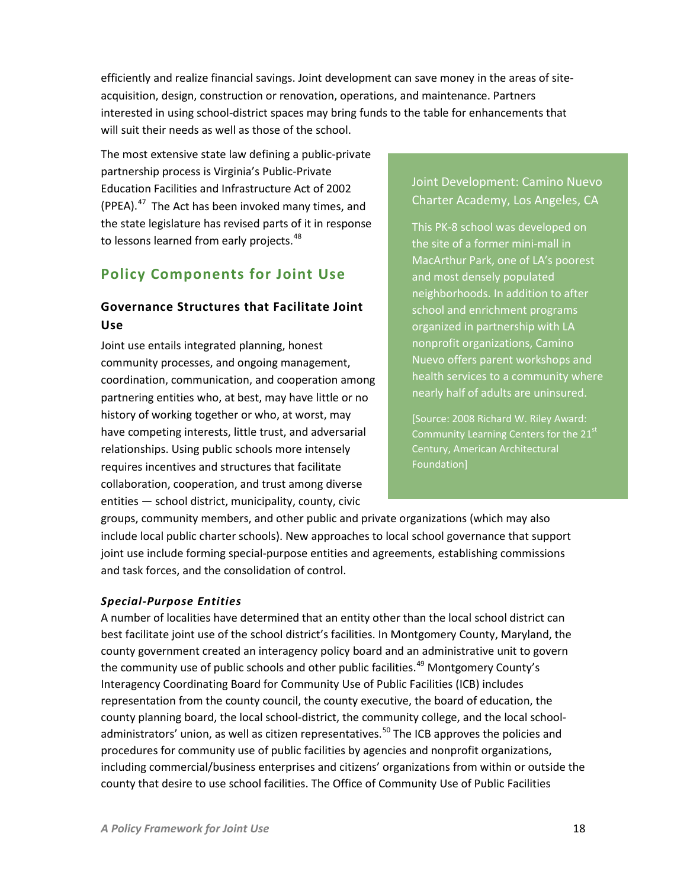efficiently and realize financial savings. Joint development can save money in the areas of siteacquisition, design, construction or renovation, operations, and maintenance. Partners interested in using school-district spaces may bring funds to the table for enhancements that will suit their needs as well as those of the school.

The most extensive state law defining a public-private partnership process is Virginia's Public-Private Education Facilities and Infrastructure Act of 2002 (PPEA). $47$  The Act has been invoked many times, and the state legislature has revised parts of it in response to lessons learned from early projects.<sup>[48](#page-30-36)</sup>

# <span id="page-17-0"></span>**Policy Components for Joint Use**

## <span id="page-17-1"></span>**Governance Structures that Facilitate Joint Use**

Joint use entails integrated planning, honest community processes, and ongoing management, coordination, communication, and cooperation among partnering entities who, at best, may have little or no history of working together or who, at worst, may have competing interests, little trust, and adversarial relationships. Using public schools more intensely requires incentives and structures that facilitate collaboration, cooperation, and trust among diverse entities — school district, municipality, county, civic

## Joint Development: Camino Nuevo Charter Academy, Los Angeles, CA

This PK-8 school was developed on the site of a former mini-mall in MacArthur Park, one of LA's poorest and most densely populated neighborhoods. In addition to after school and enrichment programs organized in partnership with LA nonprofit organizations, Camino Nuevo offers parent workshops and health services to a community where nearly half of adults are uninsured.

[Source: 2008 Richard W. Riley Award: Community Learning Centers for the 21<sup>st</sup> Century, American Architectural Foundation]

groups, community members, and other public and private organizations (which may also include local public charter schools). New approaches to local school governance that support joint use include forming special-purpose entities and agreements, establishing commissions and task forces, and the consolidation of control.

#### *Special-Purpose Entities*

A number of localities have determined that an entity other than the local school district can best facilitate joint use of the school district's facilities. In Montgomery County, Maryland, the county government created an interagency policy board and an administrative unit to govern the community use of public schools and other public facilities.<sup>[49](#page-30-37)</sup> Montgomery County's Interagency Coordinating Board for Community Use of Public Facilities (ICB) includes representation from the county council, the county executive, the board of education, the county planning board, the local school-district, the community college, and the local school-administrators' union, as well as citizen representatives.<sup>[50](#page-30-38)</sup> The ICB approves the policies and procedures for community use of public facilities by agencies and nonprofit organizations, including commercial/business enterprises and citizens' organizations from within or outside the county that desire to use school facilities. The Office of Community Use of Public Facilities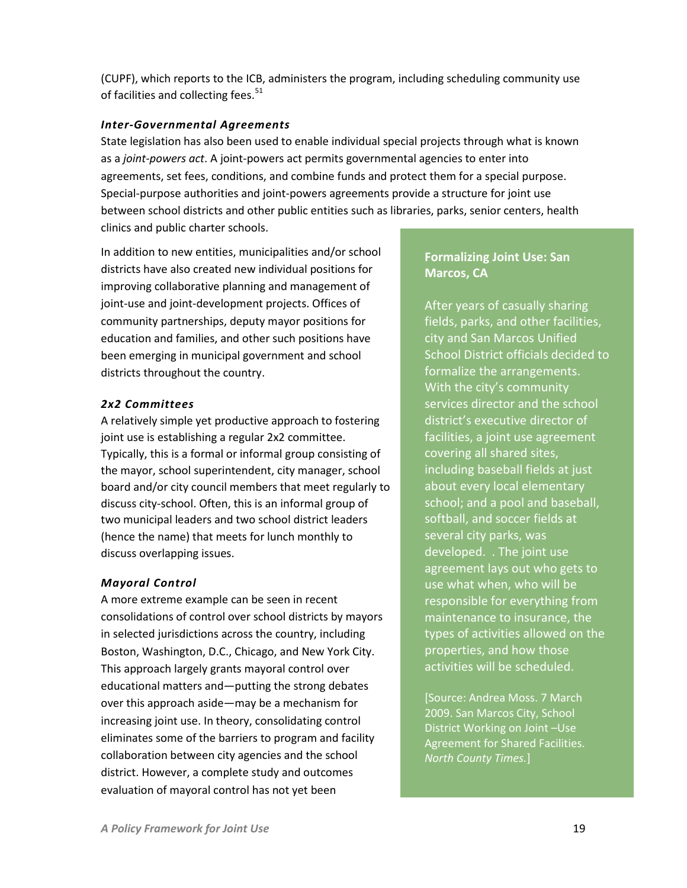(CUPF), which reports to the ICB, administers the program, including scheduling community use of facilities and collecting fees.<sup>[51](#page-30-4)</sup>

#### *Inter-Governmental Agreements*

State legislation has also been used to enable individual special projects through what is known as a *joint-powers act*. A joint-powers act permits governmental agencies to enter into agreements, set fees, conditions, and combine funds and protect them for a special purpose. Special-purpose authorities and joint-powers agreements provide a structure for joint use between school districts and other public entities such as libraries, parks, senior centers, health clinics and public charter schools.

In addition to new entities, municipalities and/or school districts have also created new individual positions for improving collaborative planning and management of joint-use and joint-development projects. Offices of community partnerships, deputy mayor positions for education and families, and other such positions have been emerging in municipal government and school districts throughout the country.

#### *2x2 Committees*

A relatively simple yet productive approach to fostering joint use is establishing a regular 2x2 committee. Typically, this is a formal or informal group consisting of the mayor, school superintendent, city manager, school board and/or city council members that meet regularly to discuss city-school. Often, this is an informal group of two municipal leaders and two school district leaders (hence the name) that meets for lunch monthly to discuss overlapping issues.

#### *Mayoral Control*

A more extreme example can be seen in recent consolidations of control over school districts by mayors in selected jurisdictions across the country, including Boston, Washington, D.C., Chicago, and New York City. This approach largely grants mayoral control over educational matters and—putting the strong debates over this approach aside—may be a mechanism for increasing joint use. In theory, consolidating control eliminates some of the barriers to program and facility collaboration between city agencies and the school district. However, a complete study and outcomes evaluation of mayoral control has not yet been

### **Formalizing Joint Use: San Marcos, CA**

After years of casually sharing fields, parks, and other facilities, city and San Marcos Unified School District officials decided to formalize the arrangements. With the city's community services director and the school district's executive director of facilities, a joint use agreement covering all shared sites, including baseball fields at just about every local elementary school; and a pool and baseball, softball, and soccer fields at several city parks, was developed. . The joint use agreement lays out who gets to use what when, who will be responsible for everything from maintenance to insurance, the types of activities allowed on the properties, and how those activities will be scheduled.

[Source: Andrea Moss. 7 March 2009. San Marcos City, School District Working on Joint –Use Agreement for Shared Facilities. *North County Times.*]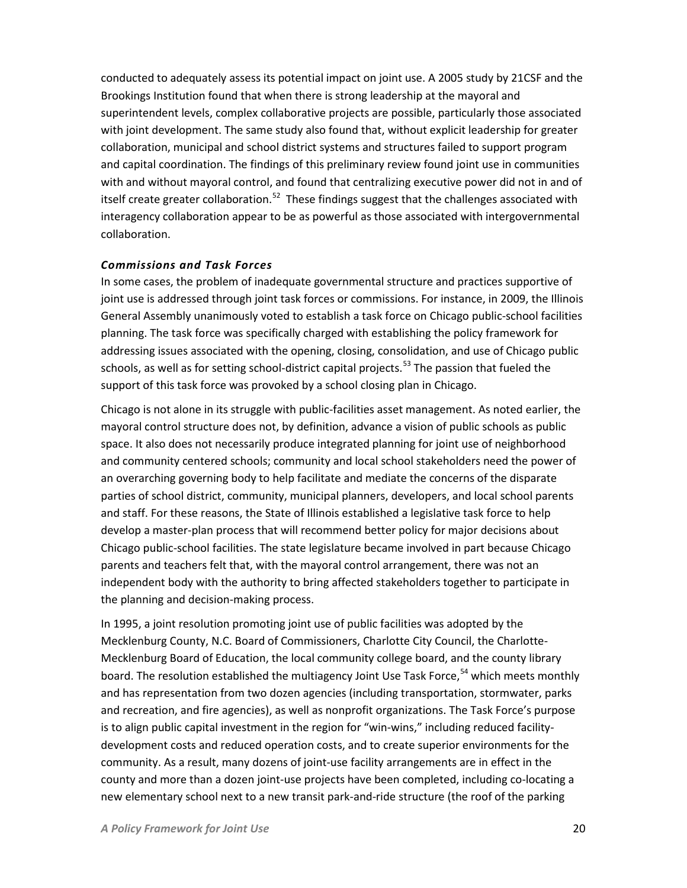conducted to adequately assess its potential impact on joint use. A 2005 study by 21CSF and the Brookings Institution found that when there is strong leadership at the mayoral and superintendent levels, complex collaborative projects are possible, particularly those associated with joint development. The same study also found that, without explicit leadership for greater collaboration, municipal and school district systems and structures failed to support program and capital coordination. The findings of this preliminary review found joint use in communities with and without mayoral control, and found that centralizing executive power did not in and of itself create greater collaboration.<sup>52</sup> These findings suggest that the challenges associated with interagency collaboration appear to be as powerful as those associated with intergovernmental collaboration.

#### *Commissions and Task Forces*

In some cases, the problem of inadequate governmental structure and practices supportive of joint use is addressed through joint task forces or commissions. For instance, in 2009, the Illinois General Assembly unanimously voted to establish a task force on Chicago public-school facilities planning. The task force was specifically charged with establishing the policy framework for addressing issues associated with the opening, closing, consolidation, and use of Chicago public schools, as well as for setting school-district capital projects.<sup>[53](#page-30-40)</sup> The passion that fueled the support of this task force was provoked by a school closing plan in Chicago.

Chicago is not alone in its struggle with public-facilities asset management. As noted earlier, the mayoral control structure does not, by definition, advance a vision of public schools as public space. It also does not necessarily produce integrated planning for joint use of neighborhood and community centered schools; community and local school stakeholders need the power of an overarching governing body to help facilitate and mediate the concerns of the disparate parties of school district, community, municipal planners, developers, and local school parents and staff. For these reasons, the State of Illinois established a legislative task force to help develop a master-plan process that will recommend better policy for major decisions about Chicago public-school facilities. The state legislature became involved in part because Chicago parents and teachers felt that, with the mayoral control arrangement, there was not an independent body with the authority to bring affected stakeholders together to participate in the planning and decision-making process.

In 1995, a joint resolution promoting joint use of public facilities was adopted by the Mecklenburg County, N.C. Board of Commissioners, Charlotte City Council, the Charlotte-Mecklenburg Board of Education, the local community college board, and the county library board. The resolution established the multiagency Joint Use Task Force, <sup>[54](#page-30-7)</sup> which meets monthly and has representation from two dozen agencies (including transportation, stormwater, parks and recreation, and fire agencies), as well as nonprofit organizations. The Task Force's purpose is to align public capital investment in the region for "win-wins," including reduced facilitydevelopment costs and reduced operation costs, and to create superior environments for the community. As a result, many dozens of joint-use facility arrangements are in effect in the county and more than a dozen joint-use projects have been completed, including co-locating a new elementary school next to a new transit park-and-ride structure (the roof of the parking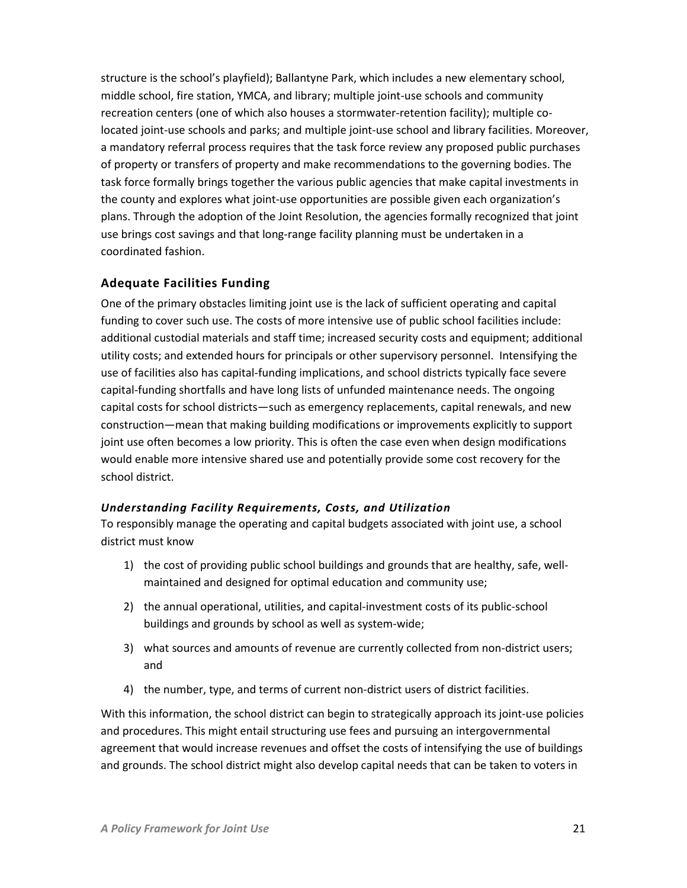structure is the school's playfield); Ballantyne Park, which includes a new elementary school, middle school, fire station, YMCA, and library; multiple joint-use schools and community recreation centers (one of which also houses a stormwater-retention facility); multiple colocated joint-use schools and parks; and multiple joint-use school and library facilities. Moreover, a mandatory referral process requires that the task force review any proposed public purchases of property or transfers of property and make recommendations to the governing bodies. The task force formally brings together the various public agencies that make capital investments in the county and explores what joint-use opportunities are possible given each organization's plans. Through the adoption of the Joint Resolution, the agencies formally recognized that joint use brings cost savings and that long-range facility planning must be undertaken in a coordinated fashion.

### <span id="page-20-0"></span>**Adequate Facilities Funding**

One of the primary obstacles limiting joint use is the lack of sufficient operating and capital funding to cover such use. The costs of more intensive use of public school facilities include: additional custodial materials and staff time; increased security costs and equipment; additional utility costs; and extended hours for principals or other supervisory personnel. Intensifying the use of facilities also has capital-funding implications, and school districts typically face severe capital-funding shortfalls and have long lists of unfunded maintenance needs. The ongoing capital costs for school districts—such as emergency replacements, capital renewals, and new construction—mean that making building modifications or improvements explicitly to support joint use often becomes a low priority. This is often the case even when design modifications would enable more intensive shared use and potentially provide some cost recovery for the school district.

### *Understanding Facility Requirements, Costs, and Utilization*

To responsibly manage the operating and capital budgets associated with joint use, a school district must know

- 1) the cost of providing public school buildings and grounds that are healthy, safe, wellmaintained and designed for optimal education and community use;
- 2) the annual operational, utilities, and capital-investment costs of its public-school buildings and grounds by school as well as system-wide;
- 3) what sources and amounts of revenue are currently collected from non-district users; and
- 4) the number, type, and terms of current non-district users of district facilities.

With this information, the school district can begin to strategically approach its joint-use policies and procedures. This might entail structuring use fees and pursuing an intergovernmental agreement that would increase revenues and offset the costs of intensifying the use of buildings and grounds. The school district might also develop capital needs that can be taken to voters in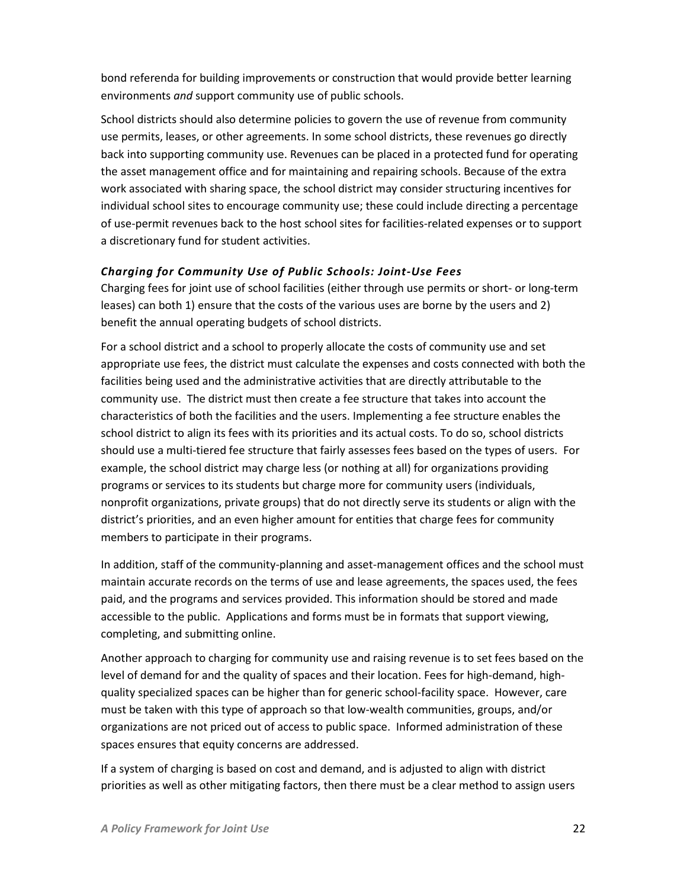bond referenda for building improvements or construction that would provide better learning environments *and* support community use of public schools.

School districts should also determine policies to govern the use of revenue from community use permits, leases, or other agreements. In some school districts, these revenues go directly back into supporting community use. Revenues can be placed in a protected fund for operating the asset management office and for maintaining and repairing schools. Because of the extra work associated with sharing space, the school district may consider structuring incentives for individual school sites to encourage community use; these could include directing a percentage of use-permit revenues back to the host school sites for facilities-related expenses or to support a discretionary fund for student activities.

#### *Charging for Community Use of Public Schools: Joint-Use Fees*

Charging fees for joint use of school facilities (either through use permits or short- or long-term leases) can both 1) ensure that the costs of the various uses are borne by the users and 2) benefit the annual operating budgets of school districts.

For a school district and a school to properly allocate the costs of community use and set appropriate use fees, the district must calculate the expenses and costs connected with both the facilities being used and the administrative activities that are directly attributable to the community use. The district must then create a fee structure that takes into account the characteristics of both the facilities and the users. Implementing a fee structure enables the school district to align its fees with its priorities and its actual costs. To do so, school districts should use a multi-tiered fee structure that fairly assesses fees based on the types of users. For example, the school district may charge less (or nothing at all) for organizations providing programs or services to its students but charge more for community users (individuals, nonprofit organizations, private groups) that do not directly serve its students or align with the district's priorities, and an even higher amount for entities that charge fees for community members to participate in their programs.

In addition, staff of the community-planning and asset-management offices and the school must maintain accurate records on the terms of use and lease agreements, the spaces used, the fees paid, and the programs and services provided. This information should be stored and made accessible to the public. Applications and forms must be in formats that support viewing, completing, and submitting online.

Another approach to charging for community use and raising revenue is to set fees based on the level of demand for and the quality of spaces and their location. Fees for high-demand, highquality specialized spaces can be higher than for generic school-facility space. However, care must be taken with this type of approach so that low-wealth communities, groups, and/or organizations are not priced out of access to public space. Informed administration of these spaces ensures that equity concerns are addressed.

If a system of charging is based on cost and demand, and is adjusted to align with district priorities as well as other mitigating factors, then there must be a clear method to assign users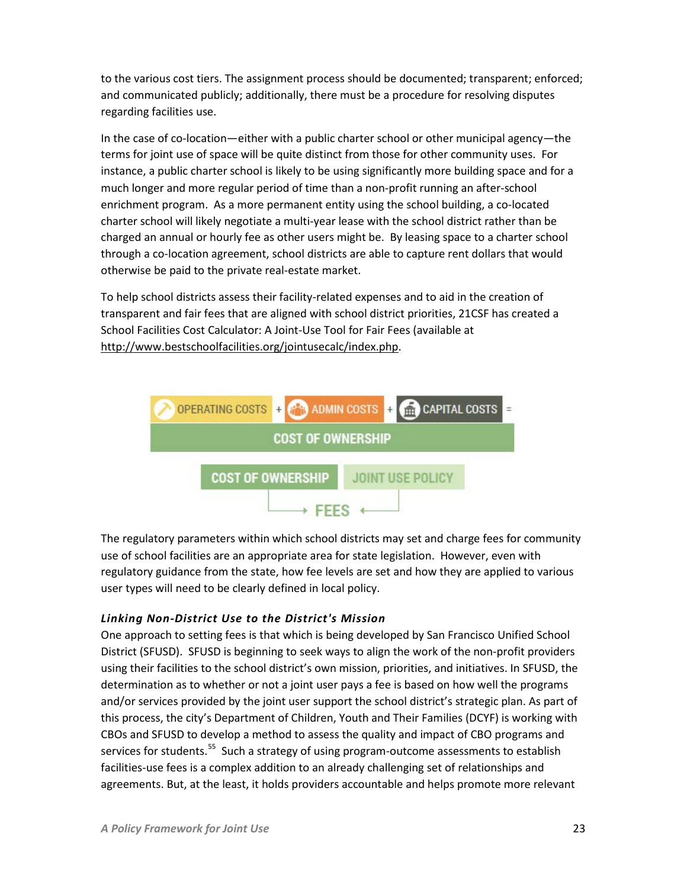to the various cost tiers. The assignment process should be documented; transparent; enforced; and communicated publicly; additionally, there must be a procedure for resolving disputes regarding facilities use.

In the case of co-location—either with a public charter school or other municipal agency—the terms for joint use of space will be quite distinct from those for other community uses. For instance, a public charter school is likely to be using significantly more building space and for a much longer and more regular period of time than a non-profit running an after-school enrichment program. As a more permanent entity using the school building, a co-located charter school will likely negotiate a multi-year lease with the school district rather than be charged an annual or hourly fee as other users might be. By leasing space to a charter school through a co-location agreement, school districts are able to capture rent dollars that would otherwise be paid to the private real-estate market.

To help school districts assess their facility-related expenses and to aid in the creation of transparent and fair fees that are aligned with school district priorities, 21CSF has created a School Facilities Cost Calculator: A Joint-Use Tool for Fair Fees (available at [http://www.bestschoolfacilities.org/jointusecalc/index.php.](http://www.bestschoolfacilities.org/jointusecalc/index.php)



The regulatory parameters within which school districts may set and charge fees for community use of school facilities are an appropriate area for state legislation. However, even with regulatory guidance from the state, how fee levels are set and how they are applied to various user types will need to be clearly defined in local policy.

#### *Linking Non-District Use to the District's Mission*

One approach to setting fees is that which is being developed by San Francisco Unified School District (SFUSD). SFUSD is beginning to seek ways to align the work of the non-profit providers using their facilities to the school district's own mission, priorities, and initiatives. In SFUSD, the determination as to whether or not a joint user pays a fee is based on how well the programs and/or services provided by the joint user support the school district's strategic plan. As part of this process, the city's Department of Children, Youth and Their Families (DCYF) is working with CBOs and SFUSD to develop a method to assess the quality and impact of CBO programs and services for students.<sup>[55](#page-30-8)</sup> Such a strategy of using program-outcome assessments to establish facilities-use fees is a complex addition to an already challenging set of relationships and agreements. But, at the least, it holds providers accountable and helps promote more relevant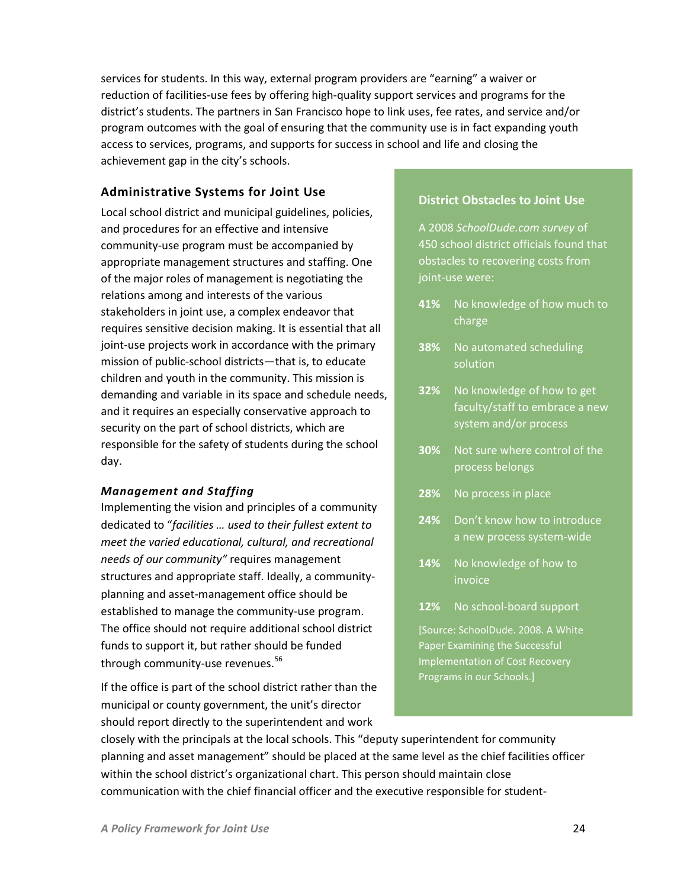services for students. In this way, external program providers are "earning" a waiver or reduction of facilities-use fees by offering high-quality support services and programs for the district's students. The partners in San Francisco hope to link uses, fee rates, and service and/or program outcomes with the goal of ensuring that the community use is in fact expanding youth access to services, programs, and supports for success in school and life and closing the achievement gap in the city's schools.

#### <span id="page-23-0"></span>**Administrative Systems for Joint Use**

Local school district and municipal guidelines, policies, and procedures for an effective and intensive community-use program must be accompanied by appropriate management structures and staffing. One of the major roles of management is negotiating the relations among and interests of the various stakeholders in joint use, a complex endeavor that requires sensitive decision making. It is essential that all joint-use projects work in accordance with the primary mission of public-school districts—that is, to educate children and youth in the community. This mission is demanding and variable in its space and schedule needs, and it requires an especially conservative approach to security on the part of school districts, which are responsible for the safety of students during the school day.

#### *Management and Staffing*

Implementing the vision and principles of a community dedicated to "*facilities … used to their fullest extent to meet the varied educational, cultural, and recreational needs of our community"* requires management structures and appropriate staff. Ideally, a communityplanning and asset-management office should be established to manage the community-use program. The office should not require additional school district funds to support it, but rather should be funded through community-use revenues. $^{56}$  $^{56}$  $^{56}$ 

If the office is part of the school district rather than the municipal or county government, the unit's director should report directly to the superintendent and work

#### **District Obstacles to Joint Use**

A 2008 *SchoolDude.com survey* of 450 school district officials found that obstacles to recovering costs from joint-use were:

- **41%** No knowledge of how much to charge
- **38%** No automated scheduling solution
- **32%** No knowledge of how to get faculty/staff to embrace a new system and/or process
- **30%** Not sure where control of the process belongs
- **28%** No process in place
- **24%** Don't know how to introduce a new process system-wide
- **14%** No knowledge of how to invoice
- **12%** No school-board support

[Source: SchoolDude. 2008. A White Paper Examining the Successful Implementation of Cost Recovery Programs in our Schools.]

closely with the principals at the local schools. This "deputy superintendent for community planning and asset management" should be placed at the same level as the chief facilities officer within the school district's organizational chart. This person should maintain close communication with the chief financial officer and the executive responsible for student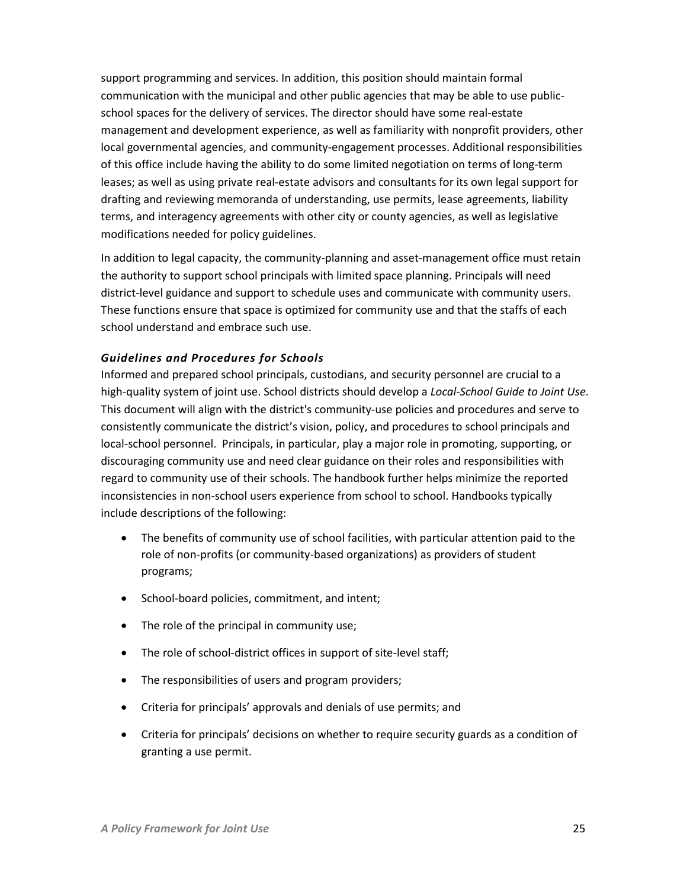support programming and services. In addition, this position should maintain formal communication with the municipal and other public agencies that may be able to use publicschool spaces for the delivery of services. The director should have some real-estate management and development experience, as well as familiarity with nonprofit providers, other local governmental agencies, and community-engagement processes. Additional responsibilities of this office include having the ability to do some limited negotiation on terms of long-term leases; as well as using private real-estate advisors and consultants for its own legal support for drafting and reviewing memoranda of understanding, use permits, lease agreements, liability terms, and interagency agreements with other city or county agencies, as well as legislative modifications needed for policy guidelines.

In addition to legal capacity, the community-planning and asset-management office must retain the authority to support school principals with limited space planning. Principals will need district-level guidance and support to schedule uses and communicate with community users. These functions ensure that space is optimized for community use and that the staffs of each school understand and embrace such use.

#### *Guidelines and Procedures for Schools*

Informed and prepared school principals, custodians, and security personnel are crucial to a high-quality system of joint use. School districts should develop a *Local-School Guide to Joint Use*. This document will align with the district's community-use policies and procedures and serve to consistently communicate the district's vision, policy, and procedures to school principals and local-school personnel. Principals, in particular, play a major role in promoting, supporting, or discouraging community use and need clear guidance on their roles and responsibilities with regard to community use of their schools. The handbook further helps minimize the reported inconsistencies in non-school users experience from school to school. Handbooks typically include descriptions of the following:

- The benefits of community use of school facilities, with particular attention paid to the role of non-profits (or community-based organizations) as providers of student programs;
- School-board policies, commitment, and intent;
- The role of the principal in community use;
- The role of school-district offices in support of site-level staff;
- The responsibilities of users and program providers;
- Criteria for principals' approvals and denials of use permits; and
- Criteria for principals' decisions on whether to require security guards as a condition of granting a use permit.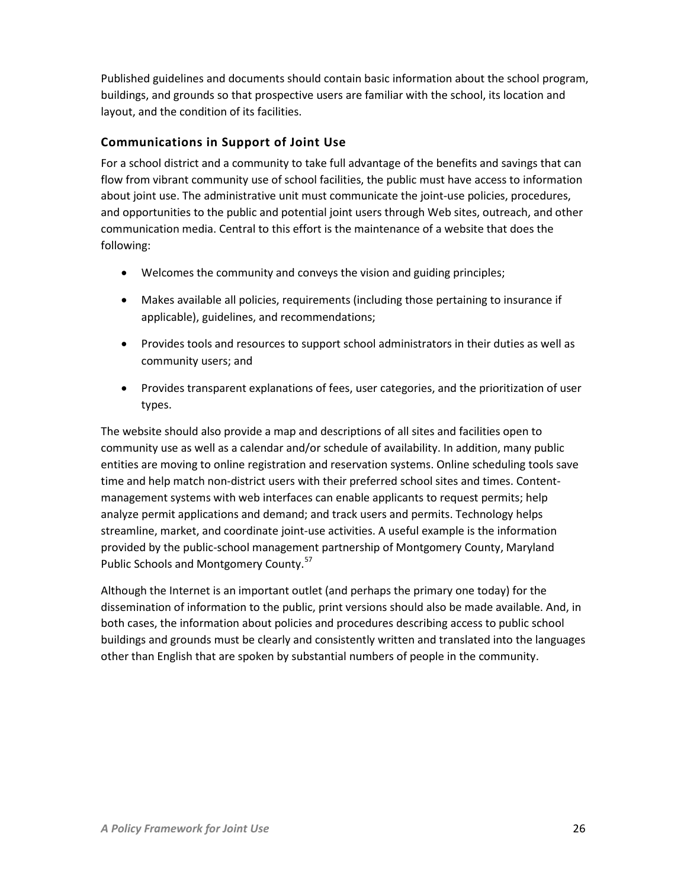Published guidelines and documents should contain basic information about the school program, buildings, and grounds so that prospective users are familiar with the school, its location and layout, and the condition of its facilities.

## <span id="page-25-0"></span>**Communications in Support of Joint Use**

For a school district and a community to take full advantage of the benefits and savings that can flow from vibrant community use of school facilities, the public must have access to information about joint use. The administrative unit must communicate the joint-use policies, procedures, and opportunities to the public and potential joint users through Web sites, outreach, and other communication media. Central to this effort is the maintenance of a website that does the following:

- Welcomes the community and conveys the vision and guiding principles;
- Makes available all policies, requirements (including those pertaining to insurance if applicable), guidelines, and recommendations;
- Provides tools and resources to support school administrators in their duties as well as community users; and
- Provides transparent explanations of fees, user categories, and the prioritization of user types.

The website should also provide a map and descriptions of all sites and facilities open to community use as well as a calendar and/or schedule of availability. In addition, many public entities are moving to online registration and reservation systems. Online scheduling tools save time and help match non-district users with their preferred school sites and times. Contentmanagement systems with web interfaces can enable applicants to request permits; help analyze permit applications and demand; and track users and permits. Technology helps streamline, market, and coordinate joint-use activities. A useful example is the information provided by the public-school management partnership of Montgomery County, Maryland Public Schools and Montgomery County.<sup>[57](#page-30-42)</sup>

Although the Internet is an important outlet (and perhaps the primary one today) for the dissemination of information to the public, print versions should also be made available. And, in both cases, the information about policies and procedures describing access to public school buildings and grounds must be clearly and consistently written and translated into the languages other than English that are spoken by substantial numbers of people in the community.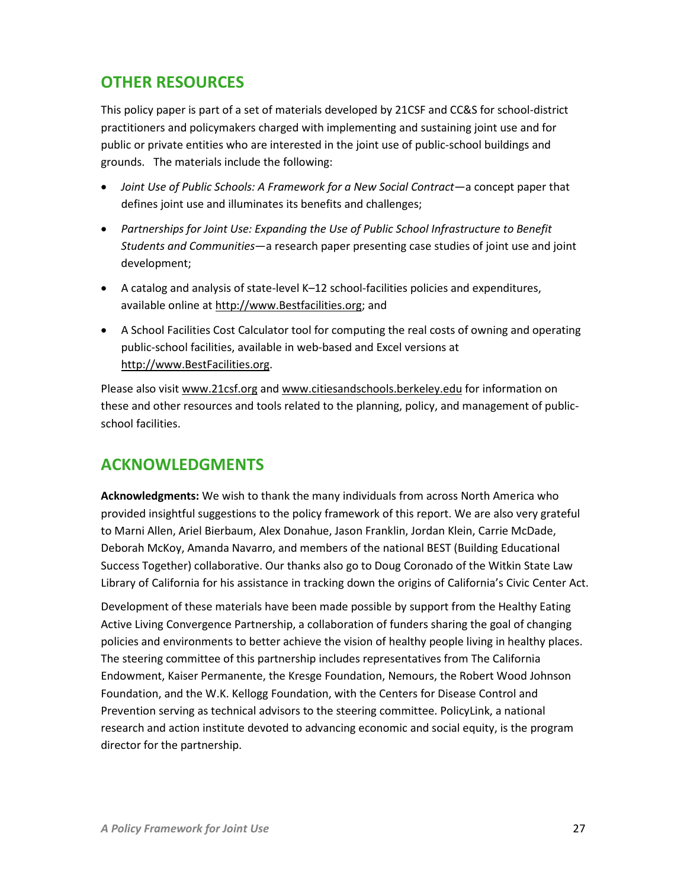# <span id="page-26-0"></span>**OTHER RESOURCES**

This policy paper is part of a set of materials developed by 21CSF and CC&S for school-district practitioners and policymakers charged with implementing and sustaining joint use and for public or private entities who are interested in the joint use of public-school buildings and grounds. The materials include the following:

- *Joint Use of Public Schools: A Framework for a New Social Contract*—a concept paper that defines joint use and illuminates its benefits and challenges;
- *Partnerships for Joint Use: Expanding the Use of Public School Infrastructure to Benefit Students and Communities*—a research paper presenting case studies of joint use and joint development;
- A catalog and analysis of state-level K–12 school-facilities policies and expenditures, available online at [http://www.Bestfacilities.org;](http://www.bestfacilities.org/) and
- A School Facilities Cost Calculator tool for computing the real costs of owning and operating public-school facilities, available in web-based and Excel versions at [http://www.BestFacilities.org.](http://www.bestfacilities.org/)

Please also visit [www.21csf.org](http://www.21csf.org/) and [www.citiesandschools.berkeley.edu](http://www.citiesandschools.berkeley.edu/) for information on these and other resources and tools related to the planning, policy, and management of publicschool facilities.

# <span id="page-26-1"></span>**ACKNOWLEDGMENTS**

**Acknowledgments:** We wish to thank the many individuals from across North America who provided insightful suggestions to the policy framework of this report. We are also very grateful to Marni Allen, Ariel Bierbaum, Alex Donahue, Jason Franklin, Jordan Klein, Carrie McDade, Deborah McKoy, Amanda Navarro, and members of the national BEST (Building Educational Success Together) collaborative. Our thanks also go to Doug Coronado of the Witkin State Law Library of California for his assistance in tracking down the origins of California's Civic Center Act.

Development of these materials have been made possible by support from the Healthy Eating Active Living Convergence Partnership, a collaboration of funders sharing the goal of changing policies and environments to better achieve the vision of healthy people living in healthy places. The steering committee of this partnership includes representatives from The California Endowment, Kaiser Permanente, the Kresge Foundation, Nemours, the Robert Wood Johnson Foundation, and the W.K. Kellogg Foundation, with the Centers for Disease Control and Prevention serving as technical advisors to the steering committee. PolicyLink, a national research and action institute devoted to advancing economic and social equity, is the program director for the partnership.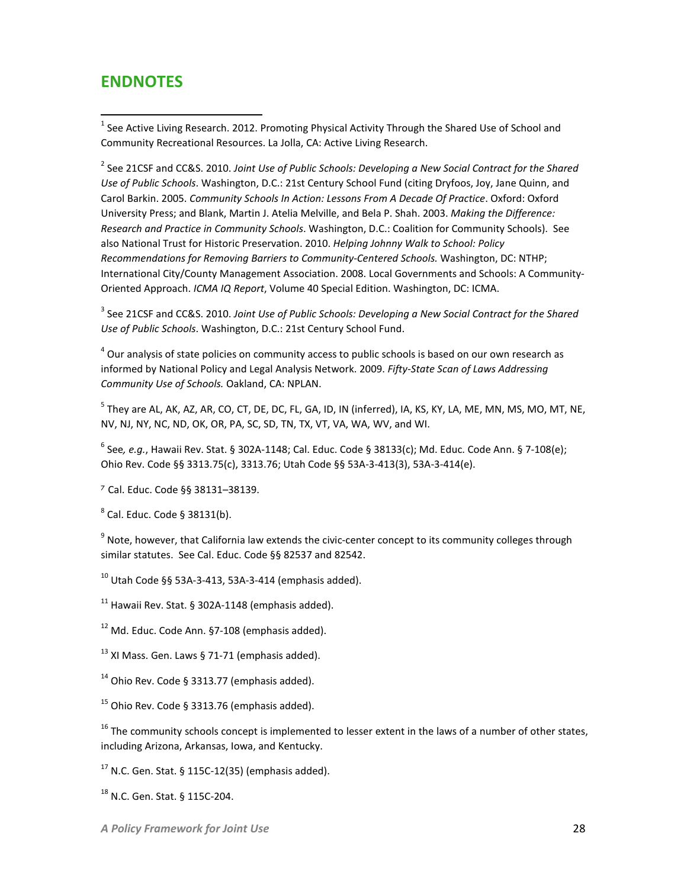# <span id="page-27-0"></span>**ENDNOTES**

 $\overline{\phantom{a}}$ 

<span id="page-27-1"></span> $<sup>1</sup>$  See Active Living Research. 2012. Promoting Physical Activity Through the Shared Use of School and</sup> Community Recreational Resources. La Jolla, CA: Active Living Research.

<span id="page-27-2"></span><sup>2</sup> See 21CSF and CC&S. 2010. *Joint Use of Public Schools: Developing a New Social Contract for the Shared Use of Public Schools*. Washington, D.C.: 21st Century School Fund (citing Dryfoos, Joy, Jane Quinn, and Carol Barkin. 2005. *Community Schools In Action: Lessons From A Decade Of Practice*. Oxford: Oxford University Press; and Blank, Martin J. Atelia Melville, and Bela P. Shah. 2003. *Making the Difference: Research and Practice in Community Schools*. Washington, D.C.: Coalition for Community Schools). See also National Trust for Historic Preservation. 2010. *Helping Johnny Walk to School: Policy Recommendations for Removing Barriers to Community-Centered Schools.* Washington, DC: NTHP; International City/County Management Association. 2008. Local Governments and Schools: A Community-Oriented Approach. *ICMA IQ Report*, Volume 40 Special Edition. Washington, DC: ICMA.

<span id="page-27-3"></span><sup>3</sup> See 21CSF and CC&S. 2010. *Joint Use of Public Schools: Developing a New Social Contract for the Shared Use of Public Schools*. Washington, D.C.: 21st Century School Fund.

 $^4$  Our analysis of state policies on community access to public schools is based on our own research as informed by National Policy and Legal Analysis Network. 2009. *Fifty-State Scan of Laws Addressing Community Use of Schools.* Oakland, CA: NPLAN.

<sup>5</sup> Thev are AL, AK, AZ, AR, CO, CT, DE, DC, FL, GA, ID, IN (inferred), IA, KS, KY, LA, ME, MN, MS, MO, MT, NE, NV, NJ, NY, NC, ND, OK, OR, PA, SC, SD, TN, TX, VT, VA, WA, WV, and WI.

<sup>6</sup> See*, e.g.*, Hawaii Rev. Stat. § 302A-1148; Cal. Educ. Code § 38133(c); Md. Educ. Code Ann. § 7-108(e); Ohio Rev. Code §§ 3313.75(c), 3313.76; Utah Code §§ 53A-3-413(3), 53A-3-414(e).

<sup>7</sup> Cal. Educ. Code §§ 38131–38139.

 $8$  Cal. Educ. Code § 38131(b).

 $9$  Note, however, that California law extends the civic-center concept to its community colleges through similar statutes. See Cal. Educ. Code §§ 82537 and 82542.

 $10$  Utah Code §§ 53A-3-413, 53A-3-414 (emphasis added).

 $11$  Hawaii Rev. Stat. § 302A-1148 (emphasis added).

 $12$  Md. Educ. Code Ann. §7-108 (emphasis added).

 $13$  XI Mass. Gen. Laws § 71-71 (emphasis added).

 $14$  Ohio Rev. Code § 3313.77 (emphasis added).

 $15$  Ohio Rev. Code § 3313.76 (emphasis added).

 $16$  The community schools concept is implemented to lesser extent in the laws of a number of other states, including Arizona, Arkansas, Iowa, and Kentucky.

 $17$  N.C. Gen. Stat. § 115C-12(35) (emphasis added).

<sup>18</sup> N.C. Gen. Stat. § 115C-204.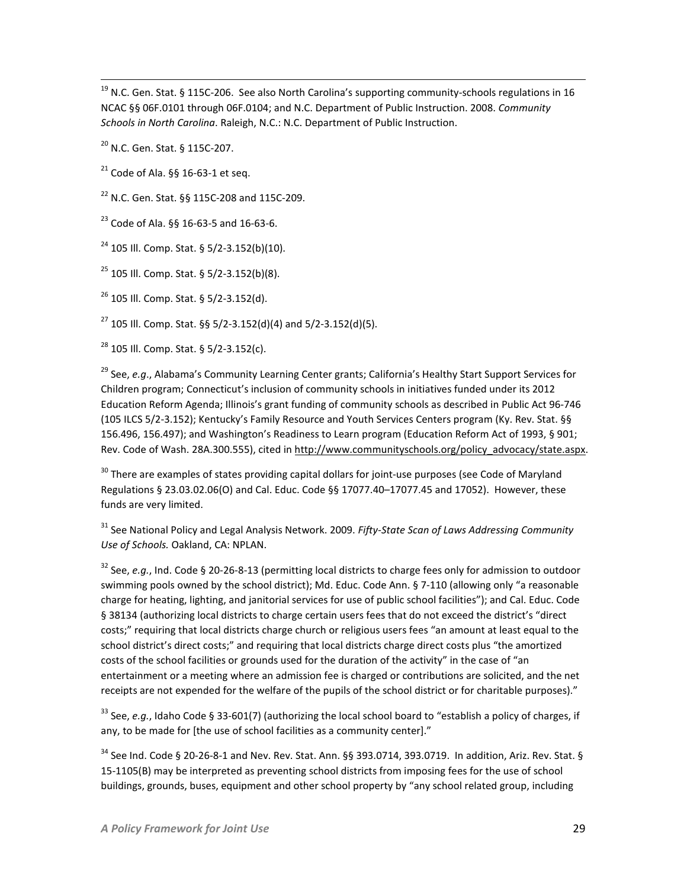<sup>19</sup> N.C. Gen. Stat. § 115C-206. See also North Carolina's supporting community-schools regulations in 16 NCAC §§ 06F.0101 through 06F.0104; and N.C. Department of Public Instruction. 2008. *Community Schools in North Carolina*. Raleigh, N.C.: N.C. Department of Public Instruction.

<sup>20</sup> N.C. Gen. Stat. § 115C-207.

 $\overline{\phantom{a}}$ 

 $21$  Code of Ala. §§ 16-63-1 et seq.

<sup>22</sup> N.C. Gen. Stat. §§ 115C-208 and 115C-209.

 $^{23}$  Code of Ala. §§ 16-63-5 and 16-63-6.

 $^{24}$  105 III. Comp. Stat. § 5/2-3.152(b)(10).

 $^{25}$  105 Ill. Comp. Stat. § 5/2-3.152(b)(8).

 $^{26}$  105 Ill. Comp. Stat. § 5/2-3.152(d).

 $^{27}$  105 Ill. Comp. Stat. §§ 5/2-3.152(d)(4) and 5/2-3.152(d)(5).

<span id="page-28-0"></span><sup>28</sup> 105 Ill. Comp. Stat. § 5/2-3.152(c).

<span id="page-28-1"></span><sup>29</sup> See, *e.g*., Alabama's Community Learning Center grants; California's Healthy Start Support Services for Children program; Connecticut's inclusion of community schools in initiatives funded under its 2012 Education Reform Agenda; Illinois's grant funding of community schools as described in Public Act 96-746 (105 ILCS 5/2-3.152); Kentucky's Family Resource and Youth Services Centers program (Ky. Rev. Stat. §§ 156.496, 156.497); and Washington's Readiness to Learn program (Education Reform Act of 1993, § 901; Rev. Code of Wash. 28A.300.555), cited in [http://www.communityschools.org/policy\\_advocacy/state.aspx.](http://www.communityschools.org/policy_advocacy/state.aspx)

<sup>30</sup> There are examples of states providing capital dollars for joint-use purposes (see Code of Maryland Regulations § 23.03.02.06(O) and Cal. Educ. Code §§ 17077.40–17077.45 and 17052). However, these funds are very limited.

<sup>31</sup> See National Policy and Legal Analysis Network. 2009. *Fifty-State Scan of Laws Addressing Community Use of Schools.* Oakland, CA: NPLAN.

<sup>32</sup> See, *e.g.*, Ind. Code § 20-26-8-13 (permitting local districts to charge fees only for admission to outdoor swimming pools owned by the school district); Md. Educ. Code Ann. § 7-110 (allowing only "a reasonable charge for heating, lighting, and janitorial services for use of public school facilities"); and Cal. Educ. Code § 38134 (authorizing local districts to charge certain users fees that do not exceed the district's "direct costs;" requiring that local districts charge church or religious users fees "an amount at least equal to the school district's direct costs;" and requiring that local districts charge direct costs plus "the amortized costs of the school facilities or grounds used for the duration of the activity" in the case of "an entertainment or a meeting where an admission fee is charged or contributions are solicited, and the net receipts are not expended for the welfare of the pupils of the school district or for charitable purposes)."

<sup>33</sup> See, *e.g.*, Idaho Code § 33-601(7) (authorizing the local school board to "establish a policy of charges, if any, to be made for [the use of school facilities as a community center]."

 $34$  See Ind. Code § 20-26-8-1 and Nev. Rev. Stat. Ann. §§ 393.0714, 393.0719. In addition, Ariz. Rev. Stat. § 15-1105(B) may be interpreted as preventing school districts from imposing fees for the use of school buildings, grounds, buses, equipment and other school property by "any school related group, including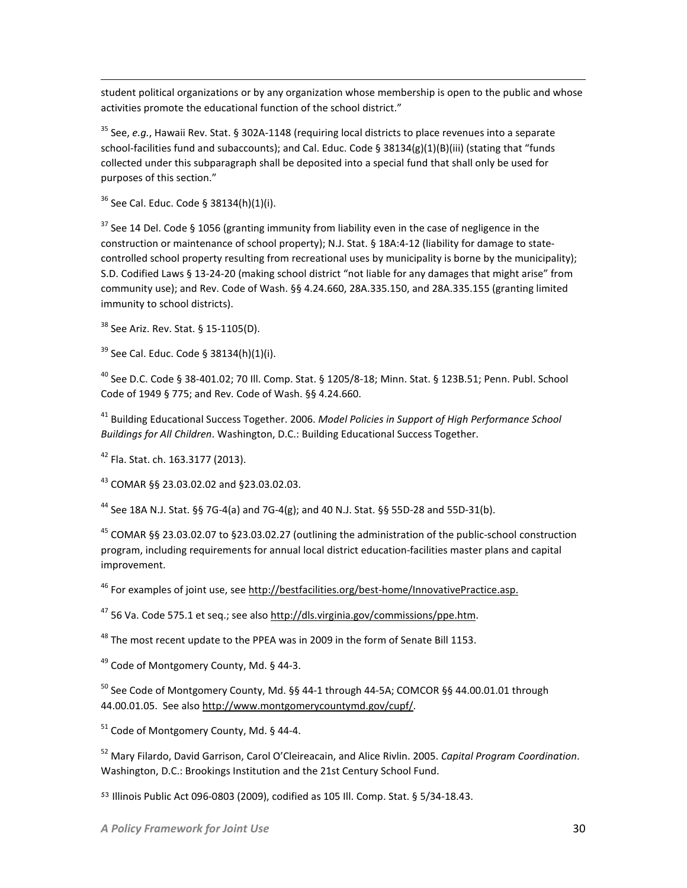student political organizations or by any organization whose membership is open to the public and whose activities promote the educational function of the school district."

<sup>35</sup> See, *e.g.*, Hawaii Rev. Stat. § 302A-1148 (requiring local districts to place revenues into a separate school-facilities fund and subaccounts); and Cal. Educ. Code § 38134(g)(1)(B)(iii) (stating that "funds collected under this subparagraph shall be deposited into a special fund that shall only be used for purposes of this section."

 $36$  See Cal. Educ. Code § 38134(h)(1)(i).

 $\overline{\phantom{a}}$ 

 $37$  See 14 Del. Code § 1056 (granting immunity from liability even in the case of negligence in the construction or maintenance of school property); N.J. Stat. § 18A:4-12 (liability for damage to statecontrolled school property resulting from recreational uses by municipality is borne by the municipality); S.D. Codified Laws § 13-24-20 (making school district "not liable for any damages that might arise" from community use); and Rev. Code of Wash. §§ 4.24.660, 28A.335.150, and 28A.335.155 (granting limited immunity to school districts).

 $38$  See Ariz. Rev. Stat. § 15-1105(D).

 $39$  See Cal. Educ. Code § 38134(h)(1)(i).

<sup>40</sup> See D.C. Code § 38-401.02; 70 Ill. Comp. Stat. § 1205/8-18; Minn. Stat. § 123B.51; Penn. Publ. School Code of 1949 § 775; and Rev. Code of Wash. §§ 4.24.660.

<sup>41</sup> Building Educational Success Together. 2006. *Model Policies in Support of High Performance School Buildings for All Children*. Washington, D.C.: Building Educational Success Together.

<span id="page-29-0"></span><sup>42</sup> Fla. Stat. ch. 163.3177 (2013).

<span id="page-29-1"></span><sup>43</sup> COMAR §§ 23.03.02.02 and §23.03.02.03.

<span id="page-29-2"></span><sup>44</sup> See 18A N.J. Stat. §§ 7G-4(a) and 7G-4(g); and 40 N.J. Stat. §§ 55D-28 and 55D-31(b).

<span id="page-29-3"></span><sup>45</sup> COMAR §§ 23.03.02.07 to §23.03.02.27 (outlining the administration of the public-school construction program, including requirements for annual local district education-facilities master plans and capital improvement.

<span id="page-29-4"></span> $46$  For examples of joint use, se[e http://bestfacilities.org/best-home/InnovativePractice.asp.](http://bestfacilities.org/best-home/InnovativePractice.asp)

<span id="page-29-5"></span> $47$  56 Va. Code 575.1 et seq.; see also http://dls.virginia.gov/commissions/ppe.htm.

 $^{48}$  The most recent update to the PPEA was in 2009 in the form of Senate Bill 1153.

<sup>49</sup> Code of Montgomery County, Md. § 44-3.

<sup>50</sup> See Code of Montgomery County, Md. §§ 44-1 through 44-5A; COMCOR §§ 44.00.01.01 through 44.00.01.05. See als[o http://www.montgomerycountymd.gov/cupf/.](http://www.montgomerycountymd.gov/cupf/) 

 $51$  Code of Montgomery County, Md. § 44-4.

<sup>52</sup> Mary Filardo, David Garrison, Carol O'Cleireacain, and Alice Rivlin. 2005. *Capital Program Coordination*. Washington, D.C.: Brookings Institution and the 21st Century School Fund.

<sup>53</sup> Illinois Public Act 096-0803 (2009), codified as 105 Ill. Comp. Stat. § 5/34-18.43.